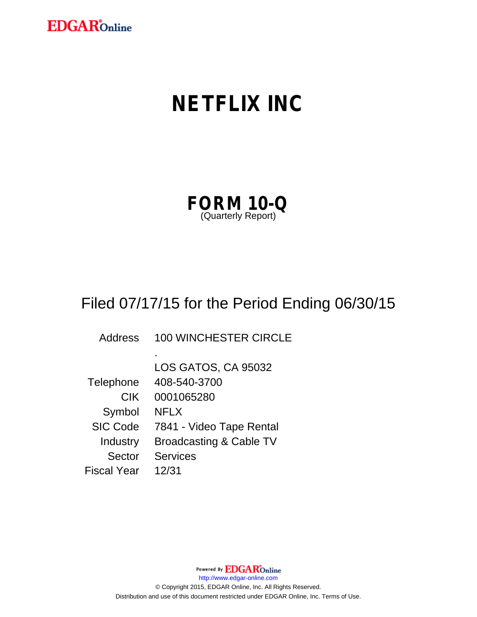

| <b>FORM 10-Q</b>   |  |  |
|--------------------|--|--|
| (Quarterly Report) |  |  |

# Filed 07/17/15 for the Period Ending 06/30/15

Address 100 WINCHESTER CIRCLE

LOS GATOS, CA 95032 Telephone 408-540-3700 CIK 0001065280 Symbol NFLX SIC Code 7841 - Video Tape Rental Industry Broadcasting & Cable TV Sector Services Fiscal Year 12/31

.

Powered By **EDGAR**Online

http://www.edgar-online.com © Copyright 2015, EDGAR Online, Inc. All Rights Reserved. Distribution and use of this document restricted under EDGAR Online, Inc. Terms of Use.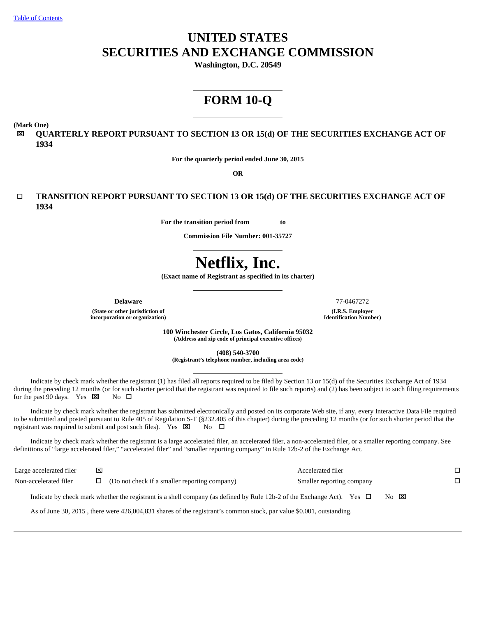# **UNITED STATES SECURITIES AND EXCHANGE COMMISSION**

**Washington, D.C. 20549**

# **FORM 10-Q**

**(Mark One)**

x **QUARTERLY REPORT PURSUANT TO SECTION 13 OR 15(d) OF THE SECURITIES EXCHANGE ACT OF 1934**

**For the quarterly period ended June 30, 2015**

**OR**

o **TRANSITION REPORT PURSUANT TO SECTION 13 OR 15(d) OF THE SECURITIES EXCHANGE ACT OF 1934**

**For the transition period from to** 

**Commission File Number: 001-35727**

# **Netflix, Inc.**

**(Exact name of Registrant as specified in its charter)**

**(State or other jurisdiction of incorporation or organization)**

> **100 Winchester Circle, Los Gatos, California 95032 (Address and zip code of principal executive offices)**

> > **(408) 540-3700**

**(Registrant's telephone number, including area code)**

Indicate by check mark whether the registrant (1) has filed all reports required to be filed by Section 13 or 15(d) of the Securities Exchange Act of 1934 during the preceding 12 months (or for such shorter period that the registrant was required to file such reports) and (2) has been subject to such filing requirements for the past 90 days. Yes  $\boxtimes$ No  $\Box$ 

Indicate by check mark whether the registrant has submitted electronically and posted on its corporate Web site, if any, every Interactive Data File required to be submitted and posted pursuant to Rule 405 of Regulation S-T (§232.405 of this chapter) during the preceding 12 months (or for such shorter period that the registrant was required to submit and post such files). Yes  $\boxtimes$ No  $\Box$ 

 Indicate by check mark whether the registrant is a large accelerated filer, an accelerated filer, a non-accelerated filer, or a smaller reporting company. See definitions of "large accelerated filer," "accelerated filer" and "smaller reporting company" in Rule 12b-2 of the Exchange Act.

| Large accelerated filer | ×                                                                                                                                           | Accelerated filer         |  |
|-------------------------|---------------------------------------------------------------------------------------------------------------------------------------------|---------------------------|--|
| Non-accelerated filer   | (Do not check if a smaller reporting company)                                                                                               | Smaller reporting company |  |
|                         | Indicate by check mark whether the registrant is a shell company (as defined by Rule 12b-2 of the Exchange Act). Yes $\square$ No $\square$ |                           |  |
|                         | As of June 30, 2015, there were 426,004,831 shares of the registrant's common stock, par value \$0.001, outstanding.                        |                           |  |

**(I.R.S. Employer Identification Number)**

**Delaware** 77-0467272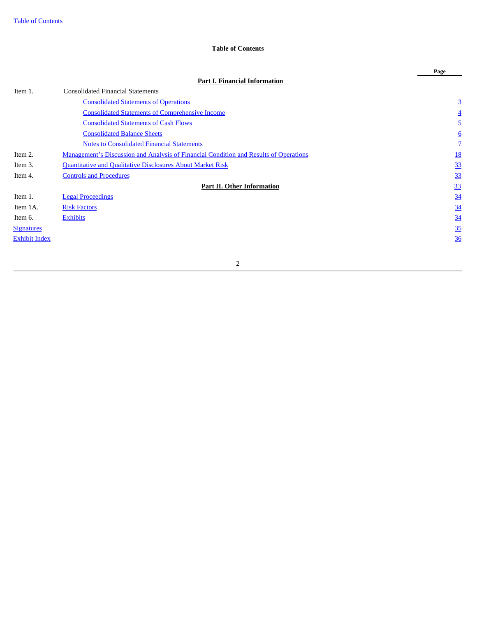# **Table of Contents**

|                      |                                                                                       | Page      |
|----------------------|---------------------------------------------------------------------------------------|-----------|
|                      | <b>Part I. Financial Information</b>                                                  |           |
| Item 1.              | <b>Consolidated Financial Statements</b>                                              |           |
|                      | <b>Consolidated Statements of Operations</b>                                          |           |
|                      | <b>Consolidated Statements of Comprehensive Income</b>                                |           |
|                      | <b>Consolidated Statements of Cash Flows</b>                                          |           |
|                      | <b>Consolidated Balance Sheets</b>                                                    |           |
|                      | <b>Notes to Consolidated Financial Statements</b>                                     |           |
| Item 2.              | Management's Discussion and Analysis of Financial Condition and Results of Operations | <u>18</u> |
| Item 3.              | <b>Quantitative and Qualitative Disclosures About Market Risk</b>                     | 33        |
| Item 4.              | <b>Controls and Procedures</b>                                                        | 33        |
|                      | <b>Part II. Other Information</b>                                                     | 33        |
| Item 1.              | <b>Legal Proceedings</b>                                                              | 34        |
| Item 1A.             | <b>Risk Factors</b>                                                                   | 34        |
| Item 6.              | <b>Exhibits</b>                                                                       | 34        |
| <b>Signatures</b>    |                                                                                       | 35        |
| <b>Exhibit Index</b> |                                                                                       | 36        |
|                      |                                                                                       |           |
|                      | $\overline{2}$                                                                        |           |
|                      |                                                                                       |           |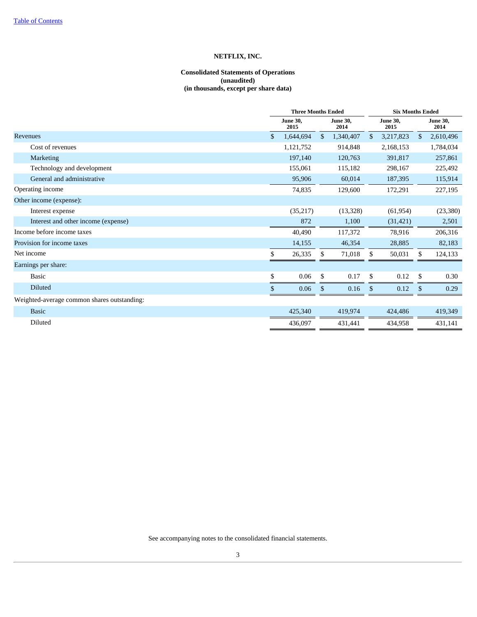# **Consolidated Statements of Operations (unaudited) (in thousands, except per share data)**

|                                             |    | <b>Three Months Ended</b> |               |                         |               | <b>Six Months Ended</b> |               |                         |  |  |  |
|---------------------------------------------|----|---------------------------|---------------|-------------------------|---------------|-------------------------|---------------|-------------------------|--|--|--|
|                                             |    | <b>June 30,</b><br>2015   |               | <b>June 30,</b><br>2014 |               | <b>June 30,</b><br>2015 |               | <b>June 30,</b><br>2014 |  |  |  |
| Revenues                                    |    | 1,644,694                 | -S            | 1,340,407               |               | 3,217,823               |               | 2,610,496               |  |  |  |
| Cost of revenues                            |    | 1,121,752                 |               | 914,848                 |               | 2,168,153               |               | 1,784,034               |  |  |  |
| Marketing                                   |    | 197,140                   |               | 120,763                 |               | 391,817                 |               | 257,861                 |  |  |  |
| Technology and development                  |    | 155,061                   |               | 115,182                 |               | 298,167                 |               | 225,492                 |  |  |  |
| General and administrative                  |    | 95,906                    |               | 60,014                  |               | 187,395                 |               | 115,914                 |  |  |  |
| Operating income                            |    | 74,835                    |               | 129,600                 |               | 172,291                 |               | 227,195                 |  |  |  |
| Other income (expense):                     |    |                           |               |                         |               |                         |               |                         |  |  |  |
| Interest expense                            |    | (35,217)                  |               | (13, 328)               |               | (61, 954)               |               | (23, 380)               |  |  |  |
| Interest and other income (expense)         |    | 872                       |               | 1,100                   |               | (31, 421)               |               | 2,501                   |  |  |  |
| Income before income taxes                  |    | 40,490                    |               | 117,372                 |               | 78,916                  |               | 206,316                 |  |  |  |
| Provision for income taxes                  |    | 14,155                    |               | 46,354                  |               | 28,885                  |               | 82,183                  |  |  |  |
| Net income                                  | £. | 26,335                    | -\$           | 71,018                  | \$            | 50,031                  | <sup>\$</sup> | 124,133                 |  |  |  |
| Earnings per share:                         |    |                           |               |                         |               |                         |               |                         |  |  |  |
| Basic                                       |    | 0.06                      | -S            | 0.17                    | -S            | 0.12                    | <sup>\$</sup> | 0.30                    |  |  |  |
| Diluted                                     |    | 0.06                      | <sup>\$</sup> | 0.16                    | $\mathcal{S}$ | 0.12                    | <sup>\$</sup> | 0.29                    |  |  |  |
| Weighted-average common shares outstanding: |    |                           |               |                         |               |                         |               |                         |  |  |  |
| Basic                                       |    | 425,340                   |               | 419,974                 |               | 424,486                 |               | 419,349                 |  |  |  |
| Diluted                                     |    | 436,097                   |               | 431,441                 |               | 434,958                 |               | 431,141                 |  |  |  |
|                                             |    |                           |               |                         |               |                         |               |                         |  |  |  |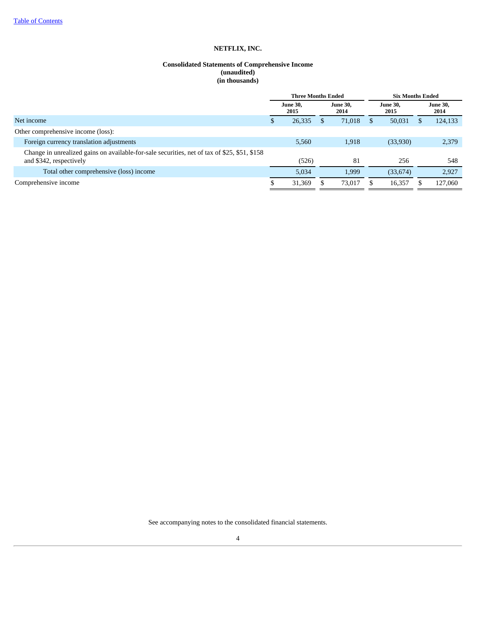#### **Consolidated Statements of Comprehensive Income (unaudited) (in thousands)**

|                                                                                                                         | <b>Three Months Ended</b> |                         |                         | <b>Six Months Ended</b> |                         |  |
|-------------------------------------------------------------------------------------------------------------------------|---------------------------|-------------------------|-------------------------|-------------------------|-------------------------|--|
|                                                                                                                         | <b>June 30,</b><br>2015   | <b>June 30,</b><br>2014 | <b>June 30,</b><br>2015 |                         | <b>June 30,</b><br>2014 |  |
| Net income                                                                                                              | 26,335                    | 71,018                  | 50,031                  |                         | 124,133                 |  |
| Other comprehensive income (loss):                                                                                      |                           |                         |                         |                         |                         |  |
| Foreign currency translation adjustments                                                                                | 5,560                     | 1,918                   | (33,930)                |                         | 2,379                   |  |
| Change in unrealized gains on available-for-sale securities, net of tax of \$25, \$51, \$158<br>and \$342, respectively | (526)                     | 81                      | 256                     |                         | 548                     |  |
| Total other comprehensive (loss) income                                                                                 | 5,034                     | 1,999                   | (33,674)                |                         | 2,927                   |  |
| Comprehensive income                                                                                                    | 31,369                    | 73,017                  | 16,357                  |                         | 127,060                 |  |
|                                                                                                                         |                           |                         |                         |                         |                         |  |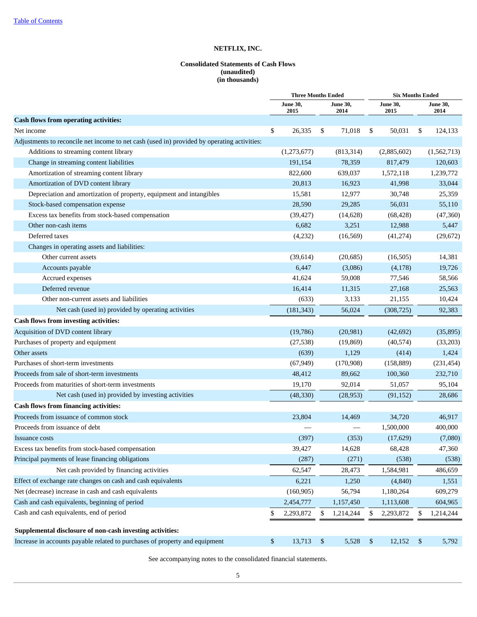# **Consolidated Statements of Cash Flows (unaudited) (in thousands)**

|                                                                                             |               | <b>Three Months Ended</b> |    |                         |     | <b>Six Months Ended</b> |               |                  |  |  |
|---------------------------------------------------------------------------------------------|---------------|---------------------------|----|-------------------------|-----|-------------------------|---------------|------------------|--|--|
|                                                                                             |               | <b>June 30,</b><br>2015   |    | <b>June 30,</b><br>2014 |     | <b>June 30,</b><br>2015 |               | June 30,<br>2014 |  |  |
| <b>Cash flows from operating activities:</b>                                                |               |                           |    |                         |     |                         |               |                  |  |  |
| Net income                                                                                  | \$            | 26,335 \$                 |    | 71,018                  | -\$ | 50,031                  | -8            | 124,133          |  |  |
| Adjustments to reconcile net income to net cash (used in) provided by operating activities: |               |                           |    |                         |     |                         |               |                  |  |  |
| Additions to streaming content library                                                      |               | (1,273,677)               |    | (813,314)               |     | (2,885,602)             |               | (1, 562, 713)    |  |  |
| Change in streaming content liabilities                                                     |               | 191,154                   |    | 78,359                  |     | 817,479                 |               | 120,603          |  |  |
| Amortization of streaming content library                                                   |               | 822,600                   |    | 639,037                 |     | 1,572,118               |               | 1,239,772        |  |  |
| Amortization of DVD content library                                                         |               | 20,813                    |    | 16,923                  |     | 41,998                  |               | 33,044           |  |  |
| Depreciation and amortization of property, equipment and intangibles                        |               | 15,581                    |    | 12,977                  |     | 30,748                  |               | 25,359           |  |  |
| Stock-based compensation expense                                                            |               | 28,590                    |    | 29,285                  |     | 56,031                  |               | 55,110           |  |  |
| Excess tax benefits from stock-based compensation                                           |               | (39, 427)                 |    | (14, 628)               |     | (68, 428)               |               | (47,360)         |  |  |
| Other non-cash items                                                                        |               | 6,682                     |    | 3,251                   |     | 12,988                  |               | 5,447            |  |  |
| Deferred taxes                                                                              |               | (4,232)                   |    | (16,569)                |     | (41,274)                |               | (29,672)         |  |  |
| Changes in operating assets and liabilities:                                                |               |                           |    |                         |     |                         |               |                  |  |  |
| Other current assets                                                                        |               | (39,614)                  |    | (20,685)                |     | (16,505)                |               | 14,381           |  |  |
| Accounts payable                                                                            |               | 6,447                     |    | (3,086)                 |     | (4,178)                 |               | 19,726           |  |  |
| Accrued expenses                                                                            |               | 41,624                    |    | 59,008                  |     | 77,546                  |               | 58,566           |  |  |
| Deferred revenue                                                                            |               | 16,414                    |    | 11,315                  |     | 27,168                  |               | 25,563           |  |  |
| Other non-current assets and liabilities                                                    |               | (633)                     |    | 3,133                   |     | 21,155                  |               | 10,424           |  |  |
| Net cash (used in) provided by operating activities                                         |               | (181, 343)                |    | 56,024                  |     | (308, 725)              |               | 92,383           |  |  |
| Cash flows from investing activities:                                                       |               |                           |    |                         |     |                         |               |                  |  |  |
| Acquisition of DVD content library                                                          |               | (19,786)                  |    | (20,981)                |     | (42,692)                |               | (35,895)         |  |  |
| Purchases of property and equipment                                                         |               | (27, 538)                 |    | (19, 869)               |     | (40, 574)               |               | (33,203)         |  |  |
| Other assets                                                                                |               | (639)                     |    | 1,129                   |     | (414)                   |               | 1,424            |  |  |
| Purchases of short-term investments                                                         |               | (67, 949)                 |    | (170,908)               |     | (158, 889)              |               | (231, 454)       |  |  |
| Proceeds from sale of short-term investments                                                |               | 48,412                    |    | 89,662                  |     | 100,360                 |               | 232,710          |  |  |
| Proceeds from maturities of short-term investments                                          |               | 19,170                    |    | 92,014                  |     | 51,057                  |               | 95,104           |  |  |
| Net cash (used in) provided by investing activities                                         |               | (48, 330)                 |    | (28,953)                |     | (91, 152)               |               | 28,686           |  |  |
| Cash flows from financing activities:                                                       |               |                           |    |                         |     |                         |               |                  |  |  |
| Proceeds from issuance of common stock                                                      |               | 23,804                    |    | 14,469                  |     | 34,720                  |               | 46,917           |  |  |
| Proceeds from issuance of debt                                                              |               |                           |    |                         |     | 1,500,000               |               | 400,000          |  |  |
| Issuance costs                                                                              |               | (397)                     |    | (353)                   |     | (17,629)                |               | (7,080)          |  |  |
| Excess tax benefits from stock-based compensation                                           |               | 39,427                    |    | 14,628                  |     | 68,428                  |               | 47,360           |  |  |
| Principal payments of lease financing obligations                                           |               | (287)                     |    | (271)                   |     | (538)                   |               | (538)            |  |  |
| Net cash provided by financing activities                                                   |               |                           |    |                         |     |                         |               | 486,659          |  |  |
| Effect of exchange rate changes on cash and cash equivalents                                |               | 62,547                    |    | 28,473                  |     | 1,584,981               |               |                  |  |  |
|                                                                                             |               | 6,221                     |    | 1,250                   |     | (4,840)                 |               | 1,551            |  |  |
| Net (decrease) increase in cash and cash equivalents                                        |               | (160, 905)                |    | 56,794                  |     | 1,180,264               |               | 609,279          |  |  |
| Cash and cash equivalents, beginning of period                                              |               | 2,454,777                 |    | 1,157,450               |     | 1,113,608               |               | 604,965          |  |  |
| Cash and cash equivalents, end of period                                                    |               | 2,293,872                 | \$ | 1,214,244               | \$  | 2,293,872               | <sup>\$</sup> | 1,214,244        |  |  |
| Supplemental disclosure of non-cash investing activities:                                   |               |                           |    |                         |     |                         |               |                  |  |  |
| Increase in accounts payable related to purchases of property and equipment                 | $\mathcal{S}$ | 13,713 \$                 |    | 5,528 \$                |     | $12,152$ \$             |               | 5,792            |  |  |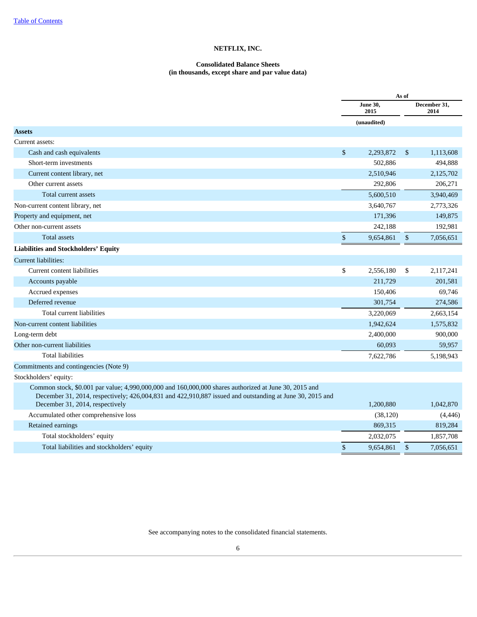#### **Consolidated Balance Sheets (in thousands, except share and par value data)**

|                                                                                                                                                                                                                                                      | As of         |                         |               |                      |  |  |
|------------------------------------------------------------------------------------------------------------------------------------------------------------------------------------------------------------------------------------------------------|---------------|-------------------------|---------------|----------------------|--|--|
|                                                                                                                                                                                                                                                      |               | <b>June 30,</b><br>2015 |               | December 31,<br>2014 |  |  |
|                                                                                                                                                                                                                                                      |               | (unaudited)             |               |                      |  |  |
| <b>Assets</b>                                                                                                                                                                                                                                        |               |                         |               |                      |  |  |
| Current assets:                                                                                                                                                                                                                                      |               |                         |               |                      |  |  |
| Cash and cash equivalents                                                                                                                                                                                                                            | $\mathcal{S}$ | 2,293,872               | $\mathcal{S}$ | 1,113,608            |  |  |
| Short-term investments                                                                                                                                                                                                                               |               | 502,886                 |               | 494,888              |  |  |
| Current content library, net                                                                                                                                                                                                                         |               | 2,510,946               |               | 2,125,702            |  |  |
| Other current assets                                                                                                                                                                                                                                 |               | 292,806                 |               | 206,271              |  |  |
| Total current assets                                                                                                                                                                                                                                 |               | 5,600,510               |               | 3,940,469            |  |  |
| Non-current content library, net                                                                                                                                                                                                                     |               | 3,640,767               |               | 2,773,326            |  |  |
| Property and equipment, net                                                                                                                                                                                                                          |               | 171,396                 |               | 149,875              |  |  |
| Other non-current assets                                                                                                                                                                                                                             |               | 242,188                 |               | 192,981              |  |  |
| Total assets                                                                                                                                                                                                                                         | $\mathbb{S}$  | 9,654,861               | $\sqrt{3}$    | 7,056,651            |  |  |
| <b>Liabilities and Stockholders' Equity</b>                                                                                                                                                                                                          |               |                         |               |                      |  |  |
| <b>Current liabilities:</b>                                                                                                                                                                                                                          |               |                         |               |                      |  |  |
| Current content liabilities                                                                                                                                                                                                                          | $\mathcal{S}$ | 2,556,180               | $\mathcal{S}$ | 2,117,241            |  |  |
| Accounts payable                                                                                                                                                                                                                                     |               | 211,729                 |               | 201,581              |  |  |
| Accrued expenses                                                                                                                                                                                                                                     |               | 150,406                 |               | 69,746               |  |  |
| Deferred revenue                                                                                                                                                                                                                                     |               | 301,754                 |               | 274,586              |  |  |
| Total current liabilities                                                                                                                                                                                                                            |               | 3,220,069               |               | 2,663,154            |  |  |
| Non-current content liabilities                                                                                                                                                                                                                      |               | 1,942,624               |               | 1,575,832            |  |  |
| Long-term debt                                                                                                                                                                                                                                       |               | 2,400,000               |               | 900,000              |  |  |
| Other non-current liabilities                                                                                                                                                                                                                        |               | 60,093                  |               | 59,957               |  |  |
| <b>Total liabilities</b>                                                                                                                                                                                                                             |               | 7,622,786               |               | 5,198,943            |  |  |
| Commitments and contingencies (Note 9)                                                                                                                                                                                                               |               |                         |               |                      |  |  |
| Stockholders' equity:                                                                                                                                                                                                                                |               |                         |               |                      |  |  |
| Common stock, \$0.001 par value; 4,990,000,000 and 160,000,000 shares authorized at June 30, 2015 and<br>December 31, 2014, respectively; 426,004,831 and 422,910,887 issued and outstanding at June 30, 2015 and<br>December 31, 2014, respectively |               | 1,200,880               |               | 1,042,870            |  |  |
| Accumulated other comprehensive loss                                                                                                                                                                                                                 |               | (38, 120)               |               | (4, 446)             |  |  |
| Retained earnings                                                                                                                                                                                                                                    |               | 869,315                 |               | 819,284              |  |  |
| Total stockholders' equity                                                                                                                                                                                                                           |               | 2,032,075               |               | 1,857,708            |  |  |
| Total liabilities and stockholders' equity                                                                                                                                                                                                           |               |                         |               |                      |  |  |
|                                                                                                                                                                                                                                                      | $\mathbb{S}$  | 9,654,861               | $\sqrt$       | 7,056,651            |  |  |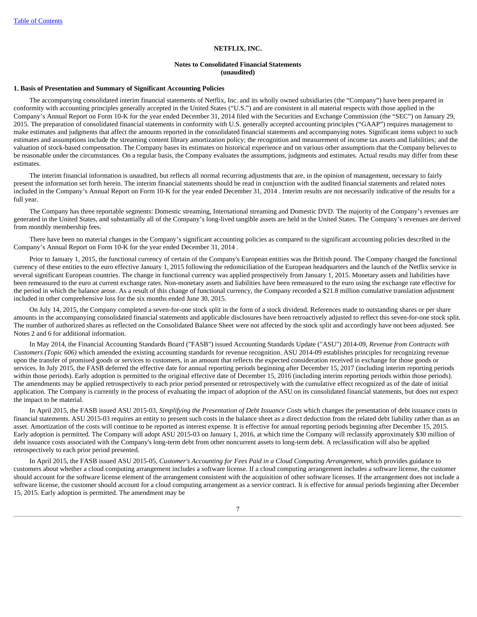#### **Notes to Consolidated Financial Statements (unaudited)**

#### **1. Basis of Presentation and Summary of Significant Accounting Policies**

The accompanying consolidated interim financial statements of Netflix, Inc. and its wholly owned subsidiaries (the "Company") have been prepared in conformity with accounting principles generally accepted in the United States ("U.S.") and are consistent in all material respects with those applied in the Company's Annual Report on Form 10-K for the year ended December 31, 2014 filed with the Securities and Exchange Commission (the "SEC") on January 29, 2015. The preparation of consolidated financial statements in conformity with U.S. generally accepted accounting principles ("GAAP") requires management to make estimates and judgments that affect the amounts reported in the consolidated financial statements and accompanying notes. Significant items subject to such estimates and assumptions include the streaming content library amortization policy; the recognition and measurement of income tax assets and liabilities; and the valuation of stock-based compensation. The Company bases its estimates on historical experience and on various other assumptions that the Company believes to be reasonable under the circumstances. On a regular basis, the Company evaluates the assumptions, judgments and estimates. Actual results may differ from these estimates.

The interim financial information is unaudited, but reflects all normal recurring adjustments that are, in the opinion of management, necessary to fairly present the information set forth herein. The interim financial statements should be read in conjunction with the audited financial statements and related notes included in the Company's Annual Report on Form 10-K for the year ended December 31, 2014 . Interim results are not necessarily indicative of the results for a full year.

The Company has three reportable segments: Domestic streaming, International streaming and Domestic DVD. The majority of the Company's revenues are generated in the United States, and substantially all of the Company's long-lived tangible assets are held in the United States. The Company's revenues are derived from monthly membership fees.

There have been no material changes in the Company's significant accounting policies as compared to the significant accounting policies described in the Company's Annual Report on Form 10-K for the year ended December 31, 2014 .

Prior to January 1, 2015, the functional currency of certain of the Company's European entities was the British pound. The Company changed the functional currency of these entities to the euro effective January 1, 2015 following the redomiciliation of the European headquarters and the launch of the Netflix service in several significant European countries. The change in functional currency was applied prospectively from January 1, 2015. Monetary assets and liabilities have been remeasured to the euro at current exchange rates. Non-monetary assets and liabilities have been remeasured to the euro using the exchange rate effective for the period in which the balance arose. As a result of this change of functional currency, the Company recorded a \$21.8 million cumulative translation adjustment included in other comprehensive loss for the six months ended June 30, 2015.

On July 14, 2015, the Company completed a seven-for-one stock split in the form of a stock dividend. References made to outstanding shares or per share amounts in the accompanying consolidated financial statements and applicable disclosures have been retroactively adjusted to reflect this seven-for-one stock split. The number of authorized shares as reflected on the Consolidated Balance Sheet were not affected by the stock split and accordingly have not been adjusted. See Notes 2 and 6 for additional information.

In May 2014, the Financial Accounting Standards Board ("FASB") issued Accounting Standards Update ("ASU") 2014-09, *Revenue from Contracts with Customers (Topic 606)* which amended the existing accounting standards for revenue recognition. ASU 2014-09 establishes principles for recognizing revenue upon the transfer of promised goods or services to customers, in an amount that reflects the expected consideration received in exchange for those goods or services. In July 2015, the FASB deferred the effective date for annual reporting periods beginning after December 15, 2017 (including interim reporting periods within those periods). Early adoption is permitted to the original effective date of December 15, 2016 (including interim reporting periods within those periods). The amendments may be applied retrospectively to each prior period presented or retrospectively with the cumulative effect recognized as of the date of initial application. The Company is currently in the process of evaluating the impact of adoption of the ASU on its consolidated financial statements, but does not expect the impact to be material.

In April 2015, the FASB issued ASU 2015-03, *Simplifying the Presentation of Debt Issuance Costs* which changes the presentation of debt issuance costs in financial statements. ASU 2015-03 requires an entity to present such costs in the balance sheet as a direct deduction from the related debt liability rather than as an asset. Amortization of the costs will continue to be reported as interest expense. It is effective for annual reporting periods beginning after December 15, 2015. Early adoption is permitted. The Company will adopt ASU 2015-03 on January 1, 2016, at which time the Company will reclassify approximately \$30 million of debt issuance costs associated with the Company's long-term debt from other noncurrent assets to long-term debt. A reclassification will also be applied retrospectively to each prior period presented.

In April 2015, the FASB issued ASU 2015-05, *Customer's Accounting for Fees Paid in a Cloud Computing Arrangement,* which provides guidance to customers about whether a cloud computing arrangement includes a software license. If a cloud computing arrangement includes a software license, the customer should account for the software license element of the arrangement consistent with the acquisition of other software licenses. If the arrangement does not include a software license, the customer should account for a cloud computing arrangement as a service contract. It is effective for annual periods beginning after December 15, 2015. Early adoption is permitted. The amendment may be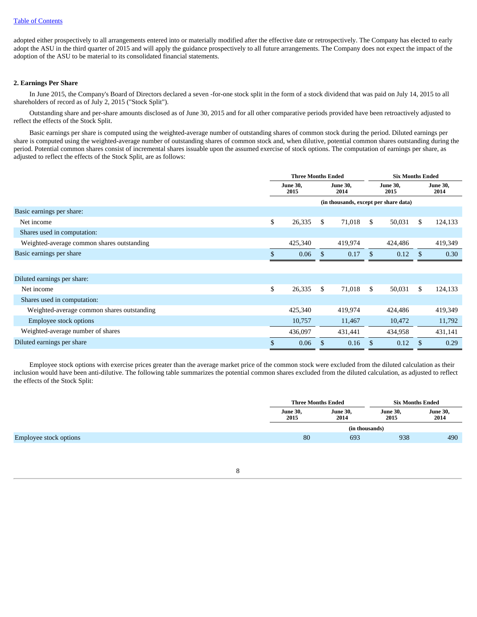adopted either prospectively to all arrangements entered into or materially modified after the effective date or retrospectively. The Company has elected to early adopt the ASU in the third quarter of 2015 and will apply the guidance prospectively to all future arrangements. The Company does not expect the impact of the adoption of the ASU to be material to its consolidated financial statements.

#### **2. Earnings Per Share**

In June 2015, the Company's Board of Directors declared a seven -for-one stock split in the form of a stock dividend that was paid on July 14, 2015 to all shareholders of record as of July 2, 2015 ("Stock Split").

Outstanding share and per-share amounts disclosed as of June 30, 2015 and for all other comparative periods provided have been retroactively adjusted to reflect the effects of the Stock Split.

Basic earnings per share is computed using the weighted-average number of outstanding shares of common stock during the period. Diluted earnings per share is computed using the weighted-average number of outstanding shares of common stock and, when dilutive, potential common shares outstanding during the period. Potential common shares consist of incremental shares issuable upon the assumed exercise of stock options. The computation of earnings per share, as adjusted to reflect the effects of the Stock Split, are as follows:

|                                            | <b>Three Months Ended</b> |    |                                       |      |                         | <b>Six Months Ended</b> |                         |  |
|--------------------------------------------|---------------------------|----|---------------------------------------|------|-------------------------|-------------------------|-------------------------|--|
|                                            | <b>June 30,</b><br>2015   |    | <b>June 30,</b><br>2014               |      | <b>June 30,</b><br>2015 |                         | <b>June 30,</b><br>2014 |  |
|                                            |                           |    | (in thousands, except per share data) |      |                         |                         |                         |  |
| Basic earnings per share:                  |                           |    |                                       |      |                         |                         |                         |  |
| Net income                                 | \$<br>26,335              | \$ | 71,018                                | - \$ | 50,031                  | -S                      | 124,133                 |  |
| Shares used in computation:                |                           |    |                                       |      |                         |                         |                         |  |
| Weighted-average common shares outstanding | 425,340                   |    | 419,974                               |      | 424,486                 |                         | 419,349                 |  |
| Basic earnings per share                   | 0.06                      |    | 0.17                                  | -SS  | 0.12                    | -86                     | 0.30                    |  |
|                                            |                           |    |                                       |      |                         |                         |                         |  |
| Diluted earnings per share:                |                           |    |                                       |      |                         |                         |                         |  |
| Net income                                 | \$<br>26,335              | \$ | 71,018                                | -\$  | 50,031                  | <sup>\$</sup>           | 124,133                 |  |
| Shares used in computation:                |                           |    |                                       |      |                         |                         |                         |  |
| Weighted-average common shares outstanding | 425,340                   |    | 419,974                               |      | 424,486                 |                         | 419,349                 |  |
| Employee stock options                     | 10,757                    |    | 11,467                                |      | 10,472                  |                         | 11,792                  |  |
| Weighted-average number of shares          | 436,097                   |    | 431,441                               |      | 434,958                 |                         | 431,141                 |  |
| Diluted earnings per share                 | 0.06                      |    | 0.16                                  |      | 0.12                    |                         | 0.29                    |  |
|                                            |                           |    |                                       |      |                         |                         |                         |  |

Employee stock options with exercise prices greater than the average market price of the common stock were excluded from the diluted calculation as their inclusion would have been anti-dilutive. The following table summarizes the potential common shares excluded from the diluted calculation, as adjusted to reflect the effects of the Stock Split:

|                        | <b>Three Months Ended</b> |                         | <b>Six Months Ended</b> |                         |  |  |
|------------------------|---------------------------|-------------------------|-------------------------|-------------------------|--|--|
|                        | June 30,<br>2015          | <b>June 30,</b><br>2014 | <b>June 30,</b><br>2015 | <b>June 30,</b><br>2014 |  |  |
|                        |                           | (in thousands)          |                         |                         |  |  |
| Employee stock options | 80                        | 693                     | 938                     | 490                     |  |  |

8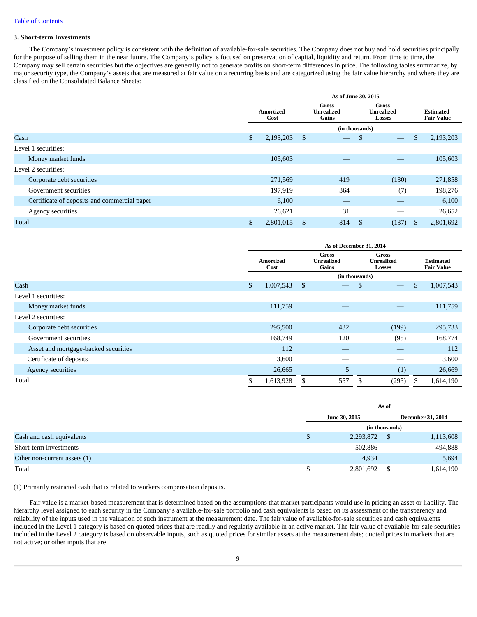# **3. Short-term Investments**

The Company's investment policy is consistent with the definition of available-for-sale securities. The Company does not buy and hold securities principally for the purpose of selling them in the near future. The Company's policy is focused on preservation of capital, liquidity and return. From time to time, the Company may sell certain securities but the objectives are generally not to generate profits on short-term differences in price. The following tables summarize, by major security type, the Company's assets that are measured at fair value on a recurring basis and are categorized using the fair value hierarchy and where they are classified on the Consolidated Balance Sheets:

|                                              |                   | As of June 30, 2015                 |     |                                             |  |                                       |  |  |
|----------------------------------------------|-------------------|-------------------------------------|-----|---------------------------------------------|--|---------------------------------------|--|--|
|                                              | Amortized<br>Cost | Gross<br><b>Unrealized</b><br>Gains |     | Gross<br><b>Unrealized</b><br><b>Losses</b> |  | <b>Estimated</b><br><b>Fair Value</b> |  |  |
|                                              |                   | (in thousands)                      |     |                                             |  |                                       |  |  |
| Cash                                         | 2,193,203 \$      | $\overline{\phantom{m}}$            | -3  |                                             |  | 2,193,203                             |  |  |
| Level 1 securities:                          |                   |                                     |     |                                             |  |                                       |  |  |
| Money market funds                           | 105,603           | $\overbrace{\phantom{aaaaa}}$       |     | $\overline{\phantom{m}}$                    |  | 105,603                               |  |  |
| Level 2 securities:                          |                   |                                     |     |                                             |  |                                       |  |  |
| Corporate debt securities                    | 271,569           | 419                                 |     | (130)                                       |  | 271,858                               |  |  |
| Government securities                        | 197,919           | 364                                 |     | (7)                                         |  | 198,276                               |  |  |
| Certificate of deposits and commercial paper | 6,100             |                                     |     |                                             |  | 6,100                                 |  |  |
| Agency securities                            | 26,621            | 31                                  |     | $\hspace{0.1mm}-\hspace{0.1mm}$             |  | 26,652                                |  |  |
| Total                                        | 2,801,015         | 814                                 | . ა | (137)                                       |  | 2,801,692                             |  |  |

|                                      | As of December 31, 2014 |                   |  |                                     |      |                                             |  |                                       |  |
|--------------------------------------|-------------------------|-------------------|--|-------------------------------------|------|---------------------------------------------|--|---------------------------------------|--|
|                                      |                         | Amortized<br>Cost |  | Gross<br><b>Unrealized</b><br>Gains |      | Gross<br><b>Unrealized</b><br><b>Losses</b> |  | <b>Estimated</b><br><b>Fair Value</b> |  |
|                                      |                         |                   |  | (in thousands)                      |      |                                             |  |                                       |  |
| Cash                                 |                         | 1,007,543 \$      |  | $\overline{\phantom{0}}$            |      | $\overline{\phantom{a}}$                    |  | 1,007,543                             |  |
| Level 1 securities:                  |                         |                   |  |                                     |      |                                             |  |                                       |  |
| Money market funds                   |                         | 111,759           |  | -                                   |      | $\hspace{0.1mm}-\hspace{0.1mm}$             |  | 111,759                               |  |
| Level 2 securities:                  |                         |                   |  |                                     |      |                                             |  |                                       |  |
| Corporate debt securities            |                         | 295,500           |  | 432                                 |      | (199)                                       |  | 295,733                               |  |
| Government securities                |                         | 168,749           |  | 120                                 |      | (95)                                        |  | 168,774                               |  |
| Asset and mortgage-backed securities |                         | 112               |  |                                     |      | $\qquad \qquad -$                           |  | 112                                   |  |
| Certificate of deposits              |                         | 3,600             |  |                                     |      | $\overline{\phantom{a}}$                    |  | 3,600                                 |  |
| Agency securities                    |                         | 26,665            |  | $\mathcal{D}$                       |      | (1)                                         |  | 26,669                                |  |
| Total                                |                         | 1,613,928 \$      |  | 557                                 | - \$ | (295)                                       |  | 1,614,190                             |  |

|                                |               | As of                    |           |  |  |  |
|--------------------------------|---------------|--------------------------|-----------|--|--|--|
|                                | June 30, 2015 | <b>December 31, 2014</b> |           |  |  |  |
|                                |               | (in thousands)           |           |  |  |  |
| Cash and cash equivalents      | 2,293,872 \$  |                          | 1,113,608 |  |  |  |
| Short-term investments         | 502,886       |                          | 494,888   |  |  |  |
| Other non-current assets $(1)$ | 4,934         |                          | 5,694     |  |  |  |
| Total                          | 2,801,692     |                          | 1,614,190 |  |  |  |

#### (1) Primarily restricted cash that is related to workers compensation deposits.

Fair value is a market-based measurement that is determined based on the assumptions that market participants would use in pricing an asset or liability. The hierarchy level assigned to each security in the Company's available-for-sale portfolio and cash equivalents is based on its assessment of the transparency and reliability of the inputs used in the valuation of such instrument at the measurement date. The fair value of available-for-sale securities and cash equivalents included in the Level 1 category is based on quoted prices that are readily and regularly available in an active market. The fair value of available-for-sale securities included in the Level 2 category is based on observable inputs, such as quoted prices for similar assets at the measurement date; quoted prices in markets that are not active; or other inputs that are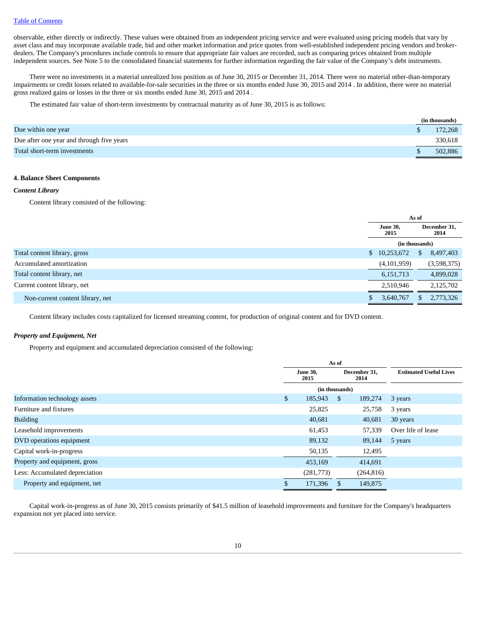# Table of Contents

observable, either directly or indirectly. These values were obtained from an independent pricing service and were evaluated using pricing models that vary by asset class and may incorporate available trade, bid and other market information and price quotes from well-established independent pricing vendors and brokerdealers. The Company's procedures include controls to ensure that appropriate fair values are recorded, such as comparing prices obtained from multiple independent sources. See Note 5 to the consolidated financial statements for further information regarding the fair value of the Company's debt instruments.

There were no investments in a material unrealized loss position as of June 30, 2015 or December 31, 2014. There were no material other-than-temporary impairments or credit losses related to available-for-sale securities in the three or six months ended June 30, 2015 and 2014 . In addition, there were no material gross realized gains or losses in the three or six months ended June 30, 2015 and 2014 .

The estimated fair value of short-term investments by contractual maturity as of June 30, 2015 is as follows:

|                                           | (in thousands) |
|-------------------------------------------|----------------|
| Due within one year                       | 172,268        |
| Due after one year and through five years | 330,618        |
| Total short-term investments              | 502,886        |

#### **4. Balance Sheet Components**

#### *Content Library*

Content library consisted of the following:

|                                  |                         | As of          |                      |
|----------------------------------|-------------------------|----------------|----------------------|
|                                  | <b>June 30,</b><br>2015 |                | December 31,<br>2014 |
|                                  |                         | (in thousands) |                      |
| Total content library, gross     | \$10,253,672            |                | 8,497,403            |
| Accumulated amortization         | (4,101,959)             |                | (3,598,375)          |
| Total content library, net       | 6,151,713               |                | 4,899,028            |
| Current content library, net     | 2,510,946               |                | 2,125,702            |
| Non-current content library, net | 3,640,767               |                | 2,773,326            |

Content library includes costs capitalized for licensed streaming content, for production of original content and for DVD content.

#### *Property and Equipment, Net*

Property and equipment and accumulated depreciation consisted of the following:

|                                |    |                         | As of        |                      |                               |
|--------------------------------|----|-------------------------|--------------|----------------------|-------------------------------|
|                                |    | <b>June 30,</b><br>2015 |              | December 31,<br>2014 | <b>Estimated Useful Lives</b> |
|                                |    | (in thousands)          |              |                      |                               |
| Information technology assets  | Ъ. | 185,943                 | <sup>S</sup> | 189,274              | 3 years                       |
| Furniture and fixtures         |    | 25,825                  |              | 25,758               | 3 years                       |
| <b>Building</b>                |    | 40,681                  |              | 40,681               | 30 years                      |
| Leasehold improvements         |    | 61,453                  |              | 57,339               | Over life of lease            |
| DVD operations equipment       |    | 89,132                  |              | 89,144               | 5 years                       |
| Capital work-in-progress       |    | 50,135                  |              | 12,495               |                               |
| Property and equipment, gross  |    | 453,169                 |              | 414,691              |                               |
| Less: Accumulated depreciation |    | (281,773)               |              | (264, 816)           |                               |
| Property and equipment, net    |    | 171,396                 |              | 149,875              |                               |
|                                |    |                         |              |                      |                               |

Capital work-in-progress as of June 30, 2015 consists primarily of \$41.5 million of leasehold improvements and furniture for the Company's headquarters expansion not yet placed into service.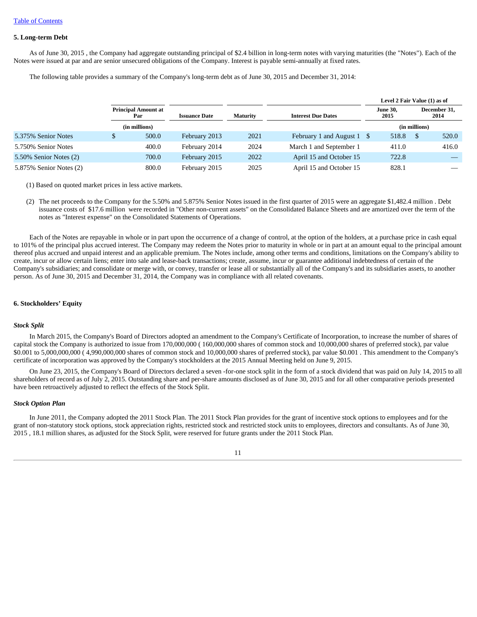### **5. Long-term Debt**

As of June 30, 2015 , the Company had aggregate outstanding principal of \$2.4 billion in long-term notes with varying maturities (the "Notes"). Each of the Notes were issued at par and are senior unsecured obligations of the Company. Interest is payable semi-annually at fixed rates.

The following table provides a summary of the Company's long-term debt as of June 30, 2015 and December 31, 2014:

|                         |                                   |                        |                 |                            |                         | Level 2 Fair Value (1) as of  |
|-------------------------|-----------------------------------|------------------------|-----------------|----------------------------|-------------------------|-------------------------------|
|                         | <b>Principal Amount at</b><br>Par | <b>Issuance Date</b>   | <b>Maturity</b> | <b>Interest Due Dates</b>  | <b>June 30,</b><br>2015 | December 31,<br>2014          |
|                         | (in millions)                     |                        |                 |                            |                         | (in millions)                 |
| 5.375% Senior Notes     | 500.0                             | February 2013          | 2021            | February 1 and August 1 \$ | 518.8 \$                | 520.0                         |
| 5.750% Senior Notes     |                                   | 400.0<br>February 2014 | 2024            | March 1 and September 1    | 411.0                   | 416.0                         |
| 5.50% Senior Notes (2)  | 700.0                             | February 2015          | 2022            | April 15 and October 15    | 722.8                   | $\overbrace{\phantom{aaaaa}}$ |
| 5.875% Senior Notes (2) | 800.0                             | February 2015          | 2025            | April 15 and October 15    | 828.1                   | $\overline{\phantom{m}}$      |

(1) Based on quoted market prices in less active markets.

(2) The net proceeds to the Company for the 5.50% and 5.875% Senior Notes issued in the first quarter of 2015 were an aggregate \$1,482.4 million . Debt issuance costs of \$17.6 million were recorded in "Other non-current assets" on the Consolidated Balance Sheets and are amortized over the term of the notes as "Interest expense" on the Consolidated Statements of Operations.

Each of the Notes are repayable in whole or in part upon the occurrence of a change of control, at the option of the holders, at a purchase price in cash equal to 101% of the principal plus accrued interest. The Company may redeem the Notes prior to maturity in whole or in part at an amount equal to the principal amount thereof plus accrued and unpaid interest and an applicable premium. The Notes include, among other terms and conditions, limitations on the Company's ability to create, incur or allow certain liens; enter into sale and lease-back transactions; create, assume, incur or guarantee additional indebtedness of certain of the Company's subsidiaries; and consolidate or merge with, or convey, transfer or lease all or substantially all of the Company's and its subsidiaries assets, to another person. As of June 30, 2015 and December 31, 2014, the Company was in compliance with all related covenants.

#### **6. Stockholders' Equity**

#### *Stock Split*

In March 2015, the Company's Board of Directors adopted an amendment to the Company's Certificate of Incorporation, to increase the number of shares of capital stock the Company is authorized to issue from 170,000,000 ( 160,000,000 shares of common stock and 10,000,000 shares of preferred stock), par value \$0.001 to 5,000,000,000 ( 4,990,000,000 shares of common stock and 10,000,000 shares of preferred stock), par value \$0.001 . This amendment to the Company's certificate of incorporation was approved by the Company's stockholders at the 2015 Annual Meeting held on June 9, 2015.

On June 23, 2015, the Company's Board of Directors declared a seven -for-one stock split in the form of a stock dividend that was paid on July 14, 2015 to all shareholders of record as of July 2, 2015. Outstanding share and per-share amounts disclosed as of June 30, 2015 and for all other comparative periods presented have been retroactively adjusted to reflect the effects of the Stock Split.

#### *Stock Option Plan*

In June 2011, the Company adopted the 2011 Stock Plan. The 2011 Stock Plan provides for the grant of incentive stock options to employees and for the grant of non-statutory stock options, stock appreciation rights, restricted stock and restricted stock units to employees, directors and consultants. As of June 30, 2015 , 18.1 million shares, as adjusted for the Stock Split, were reserved for future grants under the 2011 Stock Plan.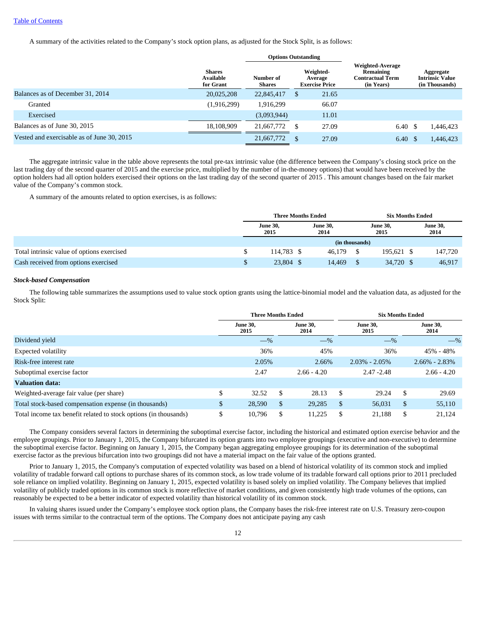A summary of the activities related to the Company's stock option plans, as adjusted for the Stock Split, is as follows:

|                                            |                                         | <b>Options Outstanding</b> |                                               |                                                                        |                   |                                                       |
|--------------------------------------------|-----------------------------------------|----------------------------|-----------------------------------------------|------------------------------------------------------------------------|-------------------|-------------------------------------------------------|
|                                            | <b>Shares</b><br>Available<br>for Grant | Number of<br><b>Shares</b> | Weighted-<br>Average<br><b>Exercise Price</b> | Weighted-Average<br>Remaining<br><b>Contractual Term</b><br>(in Years) |                   | Aggregate<br><b>Intrinsic Value</b><br>(in Thousands) |
| Balances as of December 31, 2014           | 20,025,208                              | 22,845,417                 | 21.65                                         |                                                                        |                   |                                                       |
| Granted                                    | (1,916,299)                             | 1,916,299                  | 66.07                                         |                                                                        |                   |                                                       |
| Exercised                                  |                                         | (3,093,944)                | 11.01                                         |                                                                        |                   |                                                       |
| Balances as of June 30, 2015               | 18,108,909                              | 21,667,772                 | 27.09                                         |                                                                        | 6.40 \$           | 1,446,423                                             |
| Vested and exercisable as of June 30, 2015 |                                         | 21,667,772                 | 27.09                                         |                                                                        | 6.40 <sup>°</sup> | 1,446,423                                             |

The aggregate intrinsic value in the table above represents the total pre-tax intrinsic value (the difference between the Company's closing stock price on the last trading day of the second quarter of 2015 and the exercise price, multiplied by the number of in-the-money options) that would have been received by the option holders had all option holders exercised their options on the last trading day of the second quarter of 2015 . This amount changes based on the fair market value of the Company's common stock.

A summary of the amounts related to option exercises, is as follows:

|                                            | <b>Three Months Ended</b> |                         |                | <b>Six Months Ended</b> |                         |
|--------------------------------------------|---------------------------|-------------------------|----------------|-------------------------|-------------------------|
|                                            | <b>June 30,</b><br>2015   | <b>June 30,</b><br>2014 |                | <b>June 30,</b><br>2015 | <b>June 30,</b><br>2014 |
|                                            |                           |                         | (in thousands) |                         |                         |
| Total intrinsic value of options exercised | 14,783 \$                 | 46,179                  |                | 195,621 \$              | 147,720                 |
| Cash received from options exercised       | 23,804 \$                 | 14,469                  |                | 34,720 \$               | 46,917                  |

#### *Stock-based Compensation*

The following table summarizes the assumptions used to value stock option grants using the lattice-binomial model and the valuation data, as adjusted for the Stock Split:

|                                                                  | <b>Three Months Ended</b> |                         | <b>Six Months Ended</b> |                         |
|------------------------------------------------------------------|---------------------------|-------------------------|-------------------------|-------------------------|
|                                                                  | <b>June 30,</b><br>2015   | <b>June 30,</b><br>2014 | <b>June 30,</b><br>2015 | <b>June 30,</b><br>2014 |
| Dividend yield                                                   | $-$ %                     | $-$ %                   | $-$ %                   | $-$ %                   |
| Expected volatility                                              | 36%                       | 45%                     | 36%                     | 45% - 48%               |
| Risk-free interest rate                                          | 2.05%                     | 2.66%                   | $2.03\% - 2.05\%$       | $2.66\% - 2.83\%$       |
| Suboptimal exercise factor                                       | 2.47                      | $2.66 - 4.20$           | $2.47 - 2.48$           | $2.66 - 4.20$           |
| <b>Valuation data:</b>                                           |                           |                         |                         |                         |
| Weighted-average fair value (per share)                          | 32.52                     | 28.13                   | 29.24                   | 29.69                   |
| Total stock-based compensation expense (in thousands)            | 28,590                    | 29,285                  | 56,031                  | 55,110                  |
| Total income tax benefit related to stock options (in thousands) | 10,796                    | 11,225                  | 21,188                  | 21,124                  |

The Company considers several factors in determining the suboptimal exercise factor, including the historical and estimated option exercise behavior and the employee groupings. Prior to January 1, 2015, the Company bifurcated its option grants into two employee groupings (executive and non-executive) to determine the suboptimal exercise factor. Beginning on January 1, 2015, the Company began aggregating employee groupings for its determination of the suboptimal exercise factor as the previous bifurcation into two groupings did not have a material impact on the fair value of the options granted.

Prior to January 1, 2015, the Company's computation of expected volatility was based on a blend of historical volatility of its common stock and implied volatility of tradable forward call options to purchase shares of its common stock, as low trade volume of its tradable forward call options prior to 2011 precluded sole reliance on implied volatility. Beginning on January 1, 2015, expected volatility is based solely on implied volatility. The Company believes that implied volatility of publicly traded options in its common stock is more reflective of market conditions, and given consistently high trade volumes of the options, can reasonably be expected to be a better indicator of expected volatility than historical volatility of its common stock.

In valuing shares issued under the Company's employee stock option plans, the Company bases the risk-free interest rate on U.S. Treasury zero-coupon issues with terms similar to the contractual term of the options. The Company does not anticipate paying any cash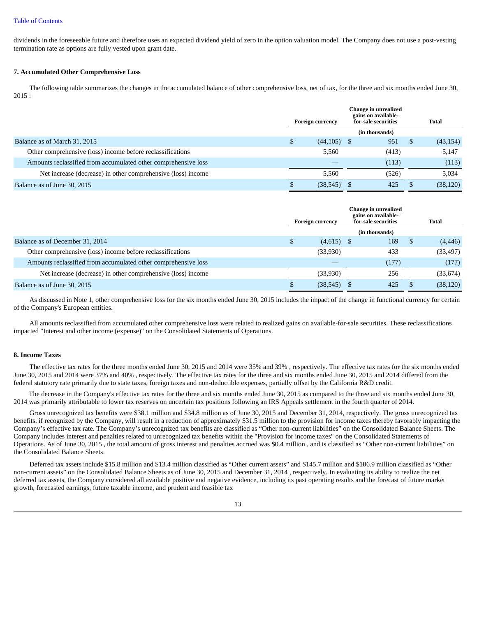dividends in the foreseeable future and therefore uses an expected dividend yield of zero in the option valuation model. The Company does not use a post-vesting termination rate as options are fully vested upon grant date.

# **7. Accumulated Other Comprehensive Loss**

The following table summarizes the changes in the accumulated balance of other comprehensive loss, net of tax, for the three and six months ended June 30, 2015 :

|                                                                | <b>Foreign currency</b> | <b>Change in unrealized</b><br>gains on available-<br>for-sale securities | <b>Total</b> |
|----------------------------------------------------------------|-------------------------|---------------------------------------------------------------------------|--------------|
|                                                                |                         | (in thousands)                                                            |              |
| Balance as of March 31, 2015                                   | $(44,105)$ \$           | 951                                                                       | (43, 154)    |
| Other comprehensive (loss) income before reclassifications     | 5,560                   | (413)                                                                     | 5,147        |
| Amounts reclassified from accumulated other comprehensive loss |                         | (113)                                                                     | (113)        |
| Net increase (decrease) in other comprehensive (loss) income   | 5,560                   | (526)                                                                     | 5,034        |
| Balance as of June 30, 2015                                    | (38, 545)               | 425                                                                       | (38, 120)    |

|                                                                | <b>Foreign currency</b> | <b>Change in unrealized</b><br>gains on available-<br>for-sale securities | Total     |
|----------------------------------------------------------------|-------------------------|---------------------------------------------------------------------------|-----------|
|                                                                |                         | (in thousands)                                                            |           |
| Balance as of December 31, 2014                                | $(4,615)$ \$            | 169                                                                       | (4, 446)  |
| Other comprehensive (loss) income before reclassifications     | (33,930)                | 433                                                                       | (33, 497) |
| Amounts reclassified from accumulated other comprehensive loss |                         | (177)                                                                     | (177)     |
| Net increase (decrease) in other comprehensive (loss) income   | (33,930)                | 256                                                                       | (33,674)  |
| Balance as of June 30, 2015                                    | (38, 545)               | 425                                                                       | (38, 120) |

As discussed in Note 1, other comprehensive loss for the six months ended June 30, 2015 includes the impact of the change in functional currency for certain of the Company's European entities.

All amounts reclassified from accumulated other comprehensive loss were related to realized gains on available-for-sale securities. These reclassifications impacted "Interest and other income (expense)" on the Consolidated Statements of Operations.

# **8. Income Taxes**

The effective tax rates for the three months ended June 30, 2015 and 2014 were 35% and 39% , respectively. The effective tax rates for the six months ended June 30, 2015 and 2014 were 37% and 40% , respectively. The effective tax rates for the three and six months ended June 30, 2015 and 2014 differed from the federal statutory rate primarily due to state taxes, foreign taxes and non-deductible expenses, partially offset by the California R&D credit.

The decrease in the Company's effective tax rates for the three and six months ended June 30, 2015 as compared to the three and six months ended June 30, 2014 was primarily attributable to lower tax reserves on uncertain tax positions following an IRS Appeals settlement in the fourth quarter of 2014.

Gross unrecognized tax benefits were \$38.1 million and \$34.8 million as of June 30, 2015 and December 31, 2014, respectively. The gross unrecognized tax benefits, if recognized by the Company, will result in a reduction of approximately \$31.5 million to the provision for income taxes thereby favorably impacting the Company's effective tax rate. The Company's unrecognized tax benefits are classified as "Other non-current liabilities" on the Consolidated Balance Sheets. The Company includes interest and penalties related to unrecognized tax benefits within the "Provision for income taxes" on the Consolidated Statements of Operations. As of June 30, 2015 , the total amount of gross interest and penalties accrued was \$0.4 million , and is classified as "Other non-current liabilities" on the Consolidated Balance Sheets.

Deferred tax assets include \$15.8 million and \$13.4 million classified as "Other current assets" and \$145.7 million and \$106.9 million classified as "Other non-current assets" on the Consolidated Balance Sheets as of June 30, 2015 and December 31, 2014 , respectively. In evaluating its ability to realize the net deferred tax assets, the Company considered all available positive and negative evidence, including its past operating results and the forecast of future market growth, forecasted earnings, future taxable income, and prudent and feasible tax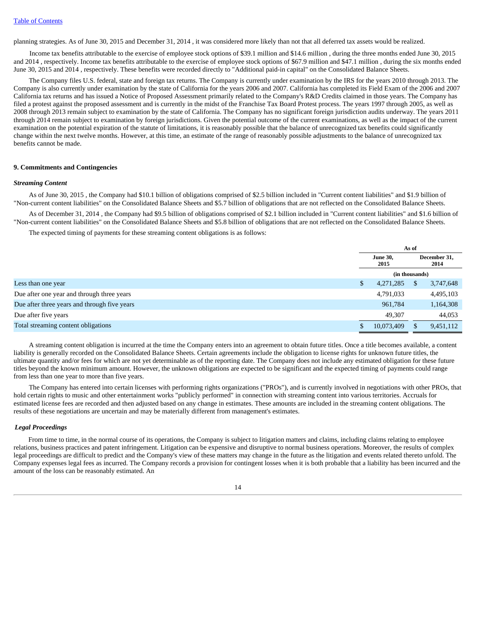planning strategies. As of June 30, 2015 and December 31, 2014 , it was considered more likely than not that all deferred tax assets would be realized.

Income tax benefits attributable to the exercise of employee stock options of \$39.1 million and \$14.6 million , during the three months ended June 30, 2015 and 2014 , respectively. Income tax benefits attributable to the exercise of employee stock options of \$67.9 million and \$47.1 million , during the six months ended June 30, 2015 and 2014 , respectively. These benefits were recorded directly to "Additional paid-in capital" on the Consolidated Balance Sheets.

The Company files U.S. federal, state and foreign tax returns. The Company is currently under examination by the IRS for the years 2010 through 2013. The Company is also currently under examination by the state of California for the years 2006 and 2007. California has completed its Field Exam of the 2006 and 2007 California tax returns and has issued a Notice of Proposed Assessment primarily related to the Company's R&D Credits claimed in those years. The Company has filed a protest against the proposed assessment and is currently in the midst of the Franchise Tax Board Protest process. The years 1997 through 2005, as well as 2008 through 2013 remain subject to examination by the state of California. The Company has no significant foreign jurisdiction audits underway. The years 2011 through 2014 remain subject to examination by foreign jurisdictions. Given the potential outcome of the current examinations, as well as the impact of the current examination on the potential expiration of the statute of limitations, it is reasonably possible that the balance of unrecognized tax benefits could significantly change within the next twelve months. However, at this time, an estimate of the range of reasonably possible adjustments to the balance of unrecognized tax benefits cannot be made.

### **9. Commitments and Contingencies**

#### *Streaming Content*

As of June 30, 2015 , the Company had \$10.1 billion of obligations comprised of \$2.5 billion included in "Current content liabilities" and \$1.9 billion of "Non-current content liabilities" on the Consolidated Balance Sheets and \$5.7 billion of obligations that are not reflected on the Consolidated Balance Sheets.

As of December 31, 2014 , the Company had \$9.5 billion of obligations comprised of \$2.1 billion included in "Current content liabilities" and \$1.6 billion of "Non-current content liabilities" on the Consolidated Balance Sheets and \$5.8 billion of obligations that are not reflected on the Consolidated Balance Sheets.

The expected timing of payments for these streaming content obligations is as follows:

|                                              |    |                         | As of |                      |
|----------------------------------------------|----|-------------------------|-------|----------------------|
|                                              |    | <b>June 30,</b><br>2015 |       | December 31,<br>2014 |
|                                              |    | (in thousands)          |       |                      |
| Less than one year                           | a. | 4,271,285               |       | 3,747,648            |
| Due after one year and through three years   |    | 4,791,033               |       | 4,495,103            |
| Due after three years and through five years |    | 961,784                 |       | 1,164,308            |
| Due after five years                         |    | 49,307                  |       | 44,053               |
| Total streaming content obligations          |    | 10,073,409              |       | 9,451,112            |

A streaming content obligation is incurred at the time the Company enters into an agreement to obtain future titles. Once a title becomes available, a content liability is generally recorded on the Consolidated Balance Sheets. Certain agreements include the obligation to license rights for unknown future titles, the ultimate quantity and/or fees for which are not yet determinable as of the reporting date. The Company does not include any estimated obligation for these future titles beyond the known minimum amount. However, the unknown obligations are expected to be significant and the expected timing of payments could range from less than one year to more than five years.

The Company has entered into certain licenses with performing rights organizations ("PROs"), and is currently involved in negotiations with other PROs, that hold certain rights to music and other entertainment works "publicly performed" in connection with streaming content into various territories. Accruals for estimated license fees are recorded and then adjusted based on any change in estimates. These amounts are included in the streaming content obligations. The results of these negotiations are uncertain and may be materially different from management's estimates.

# *Legal Proceedings*

From time to time, in the normal course of its operations, the Company is subject to litigation matters and claims, including claims relating to employee relations, business practices and patent infringement. Litigation can be expensive and disruptive to normal business operations. Moreover, the results of complex legal proceedings are difficult to predict and the Company's view of these matters may change in the future as the litigation and events related thereto unfold. The Company expenses legal fees as incurred. The Company records a provision for contingent losses when it is both probable that a liability has been incurred and the amount of the loss can be reasonably estimated. An

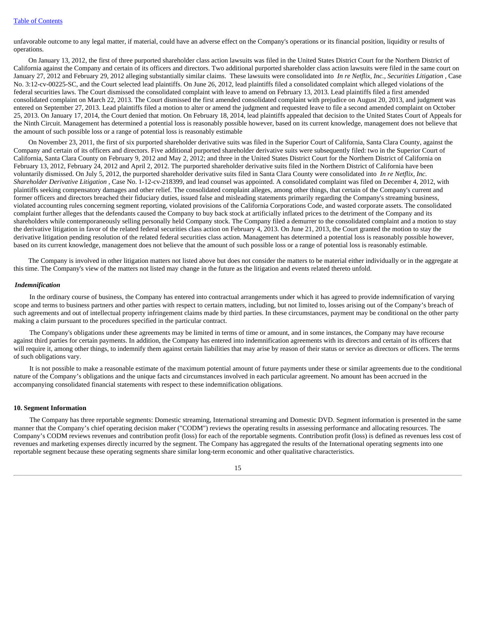unfavorable outcome to any legal matter, if material, could have an adverse effect on the Company's operations or its financial position, liquidity or results of operations.

On January 13, 2012, the first of three purported shareholder class action lawsuits was filed in the United States District Court for the Northern District of California against the Company and certain of its officers and directors. Two additional purported shareholder class action lawsuits were filed in the same court on January 27, 2012 and February 29, 2012 alleging substantially similar claims. These lawsuits were consolidated into *In re Netflix, Inc., Securities Litigation* , Case No. 3:12-cv-00225-SC, and the Court selected lead plaintiffs. On June 26, 2012, lead plaintiffs filed a consolidated complaint which alleged violations of the federal securities laws. The Court dismissed the consolidated complaint with leave to amend on February 13, 2013. Lead plaintiffs filed a first amended consolidated complaint on March 22, 2013. The Court dismissed the first amended consolidated complaint with prejudice on August 20, 2013, and judgment was entered on September 27, 2013. Lead plaintiffs filed a motion to alter or amend the judgment and requested leave to file a second amended complaint on October 25, 2013. On January 17, 2014, the Court denied that motion. On February 18, 2014, lead plaintiffs appealed that decision to the United States Court of Appeals for the Ninth Circuit. Management has determined a potential loss is reasonably possible however, based on its current knowledge, management does not believe that the amount of such possible loss or a range of potential loss is reasonably estimable

On November 23, 2011, the first of six purported shareholder derivative suits was filed in the Superior Court of California, Santa Clara County, against the Company and certain of its officers and directors. Five additional purported shareholder derivative suits were subsequently filed: two in the Superior Court of California, Santa Clara County on February 9, 2012 and May 2, 2012; and three in the United States District Court for the Northern District of California on February 13, 2012, February 24, 2012 and April 2, 2012. The purported shareholder derivative suits filed in the Northern District of California have been voluntarily dismissed. On July 5, 2012, the purported shareholder derivative suits filed in Santa Clara County were consolidated into *In re Netflix, Inc. Shareholder Derivative Litigation* , Case No. 1-12-cv-218399, and lead counsel was appointed. A consolidated complaint was filed on December 4, 2012, with plaintiffs seeking compensatory damages and other relief. The consolidated complaint alleges, among other things, that certain of the Company's current and former officers and directors breached their fiduciary duties, issued false and misleading statements primarily regarding the Company's streaming business, violated accounting rules concerning segment reporting, violated provisions of the California Corporations Code, and wasted corporate assets. The consolidated complaint further alleges that the defendants caused the Company to buy back stock at artificially inflated prices to the detriment of the Company and its shareholders while contemporaneously selling personally held Company stock. The Company filed a demurrer to the consolidated complaint and a motion to stay the derivative litigation in favor of the related federal securities class action on February 4, 2013. On June 21, 2013, the Court granted the motion to stay the derivative litigation pending resolution of the related federal securities class action. Management has determined a potential loss is reasonably possible however, based on its current knowledge, management does not believe that the amount of such possible loss or a range of potential loss is reasonably estimable.

The Company is involved in other litigation matters not listed above but does not consider the matters to be material either individually or in the aggregate at this time. The Company's view of the matters not listed may change in the future as the litigation and events related thereto unfold.

#### *Indemnification*

In the ordinary course of business, the Company has entered into contractual arrangements under which it has agreed to provide indemnification of varying scope and terms to business partners and other parties with respect to certain matters, including, but not limited to, losses arising out of the Company's breach of such agreements and out of intellectual property infringement claims made by third parties. In these circumstances, payment may be conditional on the other party making a claim pursuant to the procedures specified in the particular contract.

The Company's obligations under these agreements may be limited in terms of time or amount, and in some instances, the Company may have recourse against third parties for certain payments. In addition, the Company has entered into indemnification agreements with its directors and certain of its officers that will require it, among other things, to indemnify them against certain liabilities that may arise by reason of their status or service as directors or officers. The terms of such obligations vary.

It is not possible to make a reasonable estimate of the maximum potential amount of future payments under these or similar agreements due to the conditional nature of the Company's obligations and the unique facts and circumstances involved in each particular agreement. No amount has been accrued in the accompanying consolidated financial statements with respect to these indemnification obligations.

#### **10. Segment Information**

The Company has three reportable segments: Domestic streaming, International streaming and Domestic DVD. Segment information is presented in the same manner that the Company's chief operating decision maker ("CODM") reviews the operating results in assessing performance and allocating resources. The Company's CODM reviews revenues and contribution profit (loss) for each of the reportable segments. Contribution profit (loss) is defined as revenues less cost of revenues and marketing expenses directly incurred by the segment. The Company has aggregated the results of the International operating segments into one reportable segment because these operating segments share similar long-term economic and other qualitative characteristics.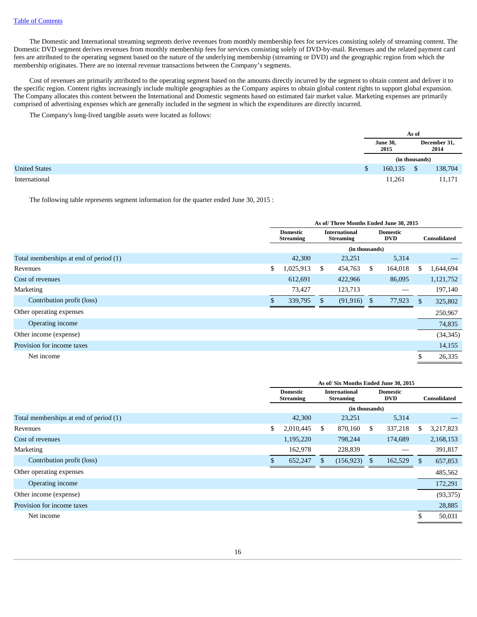The Domestic and International streaming segments derive revenues from monthly membership fees for services consisting solely of streaming content. The Domestic DVD segment derives revenues from monthly membership fees for services consisting solely of DVD-by-mail. Revenues and the related payment card fees are attributed to the operating segment based on the nature of the underlying membership (streaming or DVD) and the geographic region from which the membership originates. There are no internal revenue transactions between the Company's segments.

Cost of revenues are primarily attributed to the operating segment based on the amounts directly incurred by the segment to obtain content and deliver it to the specific region. Content rights increasingly include multiple geographies as the Company aspires to obtain global content rights to support global expansion. The Company allocates this content between the International and Domestic segments based on estimated fair market value. Marketing expenses are primarily comprised of advertising expenses which are generally included in the segment in which the expenditures are directly incurred.

The Company's long-lived tangible assets were located as follows:

|  |                  | As of                |
|--|------------------|----------------------|
|  | June 30,<br>2015 | December 31,<br>2014 |
|  |                  | (in thousands)       |
|  | 160,135          | 138,704              |
|  | 11,261           | 11,171               |

The following table represents segment information for the quarter ended June 30, 2015 :

|                                        |                                     |                                          |    | As of/ Three Months Ended June 30, 2015 |              |
|----------------------------------------|-------------------------------------|------------------------------------------|----|-----------------------------------------|--------------|
|                                        | <b>Domestic</b><br><b>Streaming</b> | <b>International</b><br><b>Streaming</b> |    | <b>Domestic</b><br><b>DVD</b>           | Consolidated |
|                                        |                                     | (in thousands)                           |    |                                         |              |
| Total memberships at end of period (1) | 42,300                              | 23,251                                   |    | 5,314                                   |              |
| Revenues                               | 1,025,913 \$                        | 454,763                                  | -8 | 164,018                                 | 1,644,694    |
| Cost of revenues                       | 612,691                             | 422,966                                  |    | 86,095                                  | 1,121,752    |
| Marketing                              | 73,427                              | 123,713                                  |    | $\hspace{0.1mm}-\hspace{0.1mm}$         | 197,140      |
| Contribution profit (loss)             | 339,795                             | $(91,916)$ \$                            |    | 77,923                                  | 325,802      |
| Other operating expenses               |                                     |                                          |    |                                         | 250,967      |
| Operating income                       |                                     |                                          |    |                                         | 74,835       |
| Other income (expense)                 |                                     |                                          |    |                                         | (34, 345)    |
| Provision for income taxes             |                                     |                                          |    |                                         | 14,155       |
| Net income                             |                                     |                                          |    |                                         | 26,335       |

|                                        |                              |      | As of/Six Months Ended June 30, 2015     |               |                                 |              |
|----------------------------------------|------------------------------|------|------------------------------------------|---------------|---------------------------------|--------------|
|                                        | Domestic<br><b>Streaming</b> |      | <b>International</b><br><b>Streaming</b> |               | <b>Domestic</b><br><b>DVD</b>   | Consolidated |
|                                        |                              |      | (in thousands)                           |               |                                 |              |
| Total memberships at end of period (1) | 42,300                       |      | 23,251                                   |               | 5,314                           |              |
| Revenues                               | \$<br>2,010,445              | - SS | 870,160                                  | $\mathcal{L}$ | 337,218                         | 3,217,823    |
| Cost of revenues                       | 1,195,220                    |      | 798,244                                  |               | 174,689                         | 2,168,153    |
| Marketing                              | 162,978                      |      | 228,839                                  |               | $\hspace{0.1mm}-\hspace{0.1mm}$ | 391,817      |
| Contribution profit (loss)             | 652,247                      |      | (156, 923)                               |               | 162,529                         | 657,853      |
| Other operating expenses               |                              |      |                                          |               |                                 | 485,562      |
| Operating income                       |                              |      |                                          |               |                                 | 172,291      |
| Other income (expense)                 |                              |      |                                          |               |                                 | (93, 375)    |
| Provision for income taxes             |                              |      |                                          |               |                                 | 28,885       |
| Net income                             |                              |      |                                          |               |                                 | 50,031       |
|                                        |                              |      |                                          |               |                                 |              |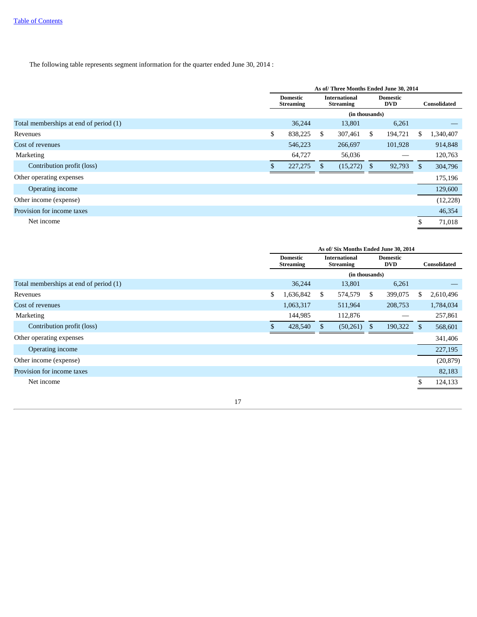The following table represents segment information for the quarter ended June 30, 2014 :

|                                        |                                     |     |                                          |      | As of/ Three Months Ended June 30, 2014 |              |
|----------------------------------------|-------------------------------------|-----|------------------------------------------|------|-----------------------------------------|--------------|
|                                        | <b>Domestic</b><br><b>Streaming</b> |     | <b>International</b><br><b>Streaming</b> |      | <b>Domestic</b><br><b>DVD</b>           | Consolidated |
|                                        |                                     |     | (in thousands)                           |      |                                         |              |
| Total memberships at end of period (1) | 36,244                              |     | 13,801                                   |      | 6,261                                   | –            |
| Revenues                               | 838,225                             | - S | 307,461 \$                               |      | 194,721                                 | 1,340,407    |
| Cost of revenues                       | 546,223                             |     | 266,697                                  |      | 101,928                                 | 914,848      |
| Marketing                              | 64,727                              |     | 56,036                                   |      | $\hspace{0.1mm}-\hspace{0.1mm}$         | 120,763      |
| Contribution profit (loss)             | 227,275                             |     | (15,272)                                 | - 75 | 92,793                                  | 304,796      |
| Other operating expenses               |                                     |     |                                          |      |                                         | 175,196      |
| Operating income                       |                                     |     |                                          |      |                                         | 129,600      |
| Other income (expense)                 |                                     |     |                                          |      |                                         | (12,228)     |
| Provision for income taxes             |                                     |     |                                          |      |                                         | 46,354       |
| Net income                             |                                     |     |                                          |      |                                         | 71,018       |

|                                        |    |                                     |                                   |      | As of/Six Months Ended June 30, 2014 |              |
|----------------------------------------|----|-------------------------------------|-----------------------------------|------|--------------------------------------|--------------|
|                                        |    | <b>Domestic</b><br><b>Streaming</b> | International<br><b>Streaming</b> |      | <b>Domestic</b><br><b>DVD</b>        | Consolidated |
|                                        |    |                                     | (in thousands)                    |      |                                      |              |
| Total memberships at end of period (1) |    | 36,244                              | 13,801                            |      | 6,261                                |              |
| Revenues                               | Эħ | 1,636,842 \$                        | 574,579                           | - \$ | 399,075                              | 2,610,496    |
| Cost of revenues                       |    | 1,063,317                           | 511,964                           |      | 208,753                              | 1,784,034    |
| Marketing                              |    | 144,985                             | 112,876                           |      | $\hspace{0.1mm}-\hspace{0.1mm}$      | 257,861      |
| Contribution profit (loss)             |    | 428,540                             | (50,261)                          | - \$ | 190,322                              | 568,601      |
| Other operating expenses               |    |                                     |                                   |      |                                      | 341,406      |
| Operating income                       |    |                                     |                                   |      |                                      | 227,195      |
| Other income (expense)                 |    |                                     |                                   |      |                                      | (20, 879)    |
| Provision for income taxes             |    |                                     |                                   |      |                                      | 82,183       |
| Net income                             |    |                                     |                                   |      |                                      | 124,133      |
|                                        |    |                                     |                                   |      |                                      |              |

# 17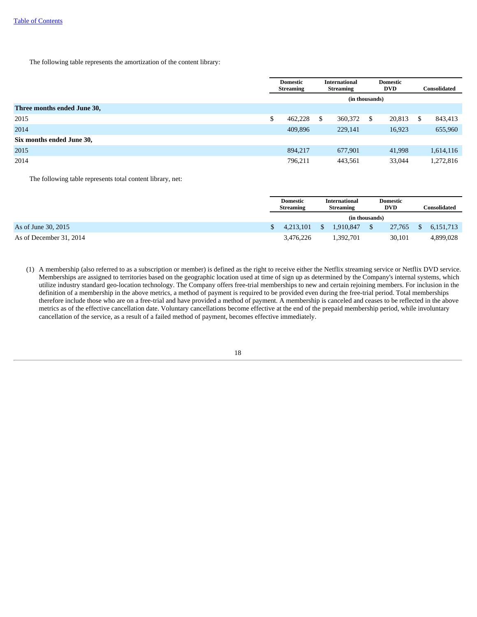The following table represents the amortization of the content library:

|                             | <b>Domestic</b><br><b>Streaming</b> |    | <b>International</b><br><b>Streaming</b> |            | <b>Domestic</b><br><b>DVD</b> |    | Consolidated |
|-----------------------------|-------------------------------------|----|------------------------------------------|------------|-------------------------------|----|--------------|
|                             |                                     |    | (in thousands)                           |            |                               |    |              |
| Three months ended June 30, |                                     |    |                                          |            |                               |    |              |
| 2015                        | 462,228                             | Ъ. | 360,372                                  | $^{\circ}$ | 20,813                        | -S | 843,413      |
| 2014                        | 409,896                             |    | 229,141                                  |            | 16,923                        |    | 655,960      |
| Six months ended June 30,   |                                     |    |                                          |            |                               |    |              |
| 2015                        | 894,217                             |    | 677,901                                  |            | 41,998                        |    | 1,614,116    |
| 2014                        | 796,211                             |    | 443,561                                  |            | 33,044                        |    | 1,272,816    |
|                             |                                     |    |                                          |            |                               |    |              |

The following table represents total content library, net:

|                         | <b>Domestic</b><br><b>Streaming</b> | <b>International</b><br><b>Streaming</b> | <b>Domestic</b><br><b>DVD</b> | Consolidated |
|-------------------------|-------------------------------------|------------------------------------------|-------------------------------|--------------|
|                         |                                     | (in thousands)                           |                               |              |
| As of June 30, 2015     | 4,213,101                           | 1,910,847                                | 27,765                        | 6,151,713    |
| As of December 31, 2014 | 3,476,226                           | 1,392,701                                | 30,101                        | 4,899,028    |

(1) A membership (also referred to as a subscription or member) is defined as the right to receive either the Netflix streaming service or Netflix DVD service. Memberships are assigned to territories based on the geographic location used at time of sign up as determined by the Company's internal systems, which utilize industry standard geo-location technology. The Company offers free-trial memberships to new and certain rejoining members. For inclusion in the definition of a membership in the above metrics, a method of payment is required to be provided even during the free-trial period. Total memberships therefore include those who are on a free-trial and have provided a method of payment. A membership is canceled and ceases to be reflected in the above metrics as of the effective cancellation date. Voluntary cancellations become effective at the end of the prepaid membership period, while involuntary cancellation of the service, as a result of a failed method of payment, becomes effective immediately.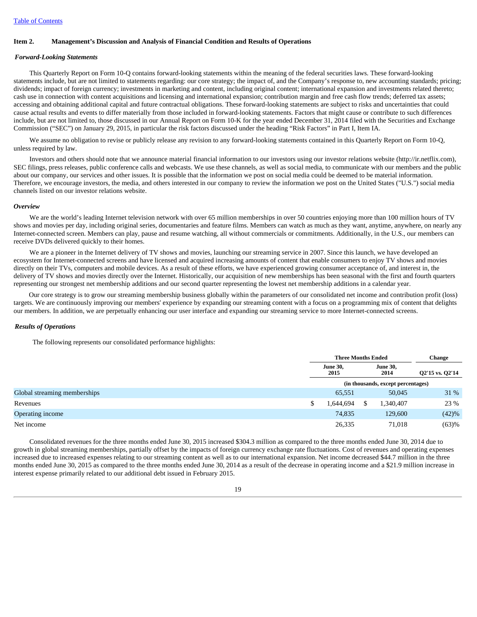#### **Item 2. Management's Discussion and Analysis of Financial Condition and Results of Operations**

#### *Forward-Looking Statements*

This Quarterly Report on Form 10-Q contains forward-looking statements within the meaning of the federal securities laws. These forward-looking statements include, but are not limited to statements regarding: our core strategy; the impact of, and the Company's response to, new accounting standards; pricing; dividends; impact of foreign currency; investments in marketing and content, including original content; international expansion and investments related thereto; cash use in connection with content acquisitions and licensing and international expansion; contribution margin and free cash flow trends; deferred tax assets; accessing and obtaining additional capital and future contractual obligations. These forward-looking statements are subject to risks and uncertainties that could cause actual results and events to differ materially from those included in forward-looking statements. Factors that might cause or contribute to such differences include, but are not limited to, those discussed in our Annual Report on Form 10-K for the year ended December 31, 2014 filed with the Securities and Exchange Commission ("SEC") on January 29, 2015, in particular the risk factors discussed under the heading "Risk Factors" in Part I, Item IA.

We assume no obligation to revise or publicly release any revision to any forward-looking statements contained in this Quarterly Report on Form 10-Q, unless required by law.

Investors and others should note that we announce material financial information to our investors using our investor relations website (http://ir.netflix.com), SEC filings, press releases, public conference calls and webcasts. We use these channels, as well as social media, to communicate with our members and the public about our company, our services and other issues. It is possible that the information we post on social media could be deemed to be material information. Therefore, we encourage investors, the media, and others interested in our company to review the information we post on the United States ("U.S.") social media channels listed on our investor relations website.

#### *Overview*

We are the world's leading Internet television network with over 65 million memberships in over 50 countries enjoying more than 100 million hours of TV shows and movies per day, including original series, documentaries and feature films. Members can watch as much as they want, anytime, anywhere, on nearly any Internet-connected screen. Members can play, pause and resume watching, all without commercials or commitments. Additionally, in the U.S., our members can receive DVDs delivered quickly to their homes.

We are a pioneer in the Internet delivery of TV shows and movies, launching our streaming service in 2007. Since this launch, we have developed an ecosystem for Internet-connected screens and have licensed and acquired increasing amounts of content that enable consumers to enjoy TV shows and movies directly on their TVs, computers and mobile devices. As a result of these efforts, we have experienced growing consumer acceptance of, and interest in, the delivery of TV shows and movies directly over the Internet. Historically, our acquisition of new memberships has been seasonal with the first and fourth quarters representing our strongest net membership additions and our second quarter representing the lowest net membership additions in a calendar year.

Our core strategy is to grow our streaming membership business globally within the parameters of our consolidated net income and contribution profit (loss) targets. We are continuously improving our members' experience by expanding our streaming content with a focus on a programming mix of content that delights our members. In addition, we are perpetually enhancing our user interface and expanding our streaming service to more Internet-connected screens.

#### *Results of Operations*

The following represents our consolidated performance highlights:

|                              |                         | <b>Three Months Ended</b>          | Change          |
|------------------------------|-------------------------|------------------------------------|-----------------|
|                              | <b>June 30,</b><br>2015 | <b>June 30,</b><br>2014            | Q2'15 vs. Q2'14 |
|                              |                         | (in thousands, except percentages) |                 |
| Global streaming memberships | 65,551                  | 50,045                             | 31 %            |
| Revenues                     | 1,644,694               | 1,340,407                          | 23 %            |
| Operating income             | 74,835                  | 129,600                            | (42)%           |
| Net income                   | 26,335                  | 71,018                             | (63)%           |

Consolidated revenues for the three months ended June 30, 2015 increased \$304.3 million as compared to the three months ended June 30, 2014 due to growth in global streaming memberships, partially offset by the impacts of foreign currency exchange rate fluctuations. Cost of revenues and operating expenses increased due to increased expenses relating to our streaming content as well as to our international expansion. Net income decreased \$44.7 million in the three months ended June 30, 2015 as compared to the three months ended June 30, 2014 as a result of the decrease in operating income and a \$21.9 million increase in interest expense primarily related to our additional debt issued in February 2015.

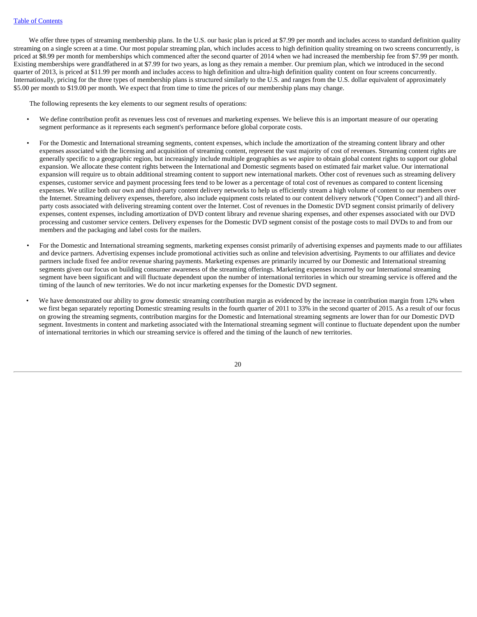We offer three types of streaming membership plans. In the U.S. our basic plan is priced at \$7.99 per month and includes access to standard definition quality streaming on a single screen at a time. Our most popular streaming plan, which includes access to high definition quality streaming on two screens concurrently, is priced at \$8.99 per month for memberships which commenced after the second quarter of 2014 when we had increased the membership fee from \$7.99 per month. Existing memberships were grandfathered in at \$7.99 for two years, as long as they remain a member. Our premium plan, which we introduced in the second quarter of 2013, is priced at \$11.99 per month and includes access to high definition and ultra-high definition quality content on four screens concurrently. Internationally, pricing for the three types of membership plans is structured similarly to the U.S. and ranges from the U.S. dollar equivalent of approximately \$5.00 per month to \$19.00 per month. We expect that from time to time the prices of our membership plans may change.

The following represents the key elements to our segment results of operations:

- We define contribution profit as revenues less cost of revenues and marketing expenses. We believe this is an important measure of our operating segment performance as it represents each segment's performance before global corporate costs.
- For the Domestic and International streaming segments, content expenses, which include the amortization of the streaming content library and other expenses associated with the licensing and acquisition of streaming content, represent the vast majority of cost of revenues. Streaming content rights are generally specific to a geographic region, but increasingly include multiple geographies as we aspire to obtain global content rights to support our global expansion. We allocate these content rights between the International and Domestic segments based on estimated fair market value. Our international expansion will require us to obtain additional streaming content to support new international markets. Other cost of revenues such as streaming delivery expenses, customer service and payment processing fees tend to be lower as a percentage of total cost of revenues as compared to content licensing expenses. We utilize both our own and third-party content delivery networks to help us efficiently stream a high volume of content to our members over the Internet. Streaming delivery expenses, therefore, also include equipment costs related to our content delivery network ("Open Connect") and all thirdparty costs associated with delivering streaming content over the Internet. Cost of revenues in the Domestic DVD segment consist primarily of delivery expenses, content expenses, including amortization of DVD content library and revenue sharing expenses, and other expenses associated with our DVD processing and customer service centers. Delivery expenses for the Domestic DVD segment consist of the postage costs to mail DVDs to and from our members and the packaging and label costs for the mailers.
- For the Domestic and International streaming segments, marketing expenses consist primarily of advertising expenses and payments made to our affiliates and device partners. Advertising expenses include promotional activities such as online and television advertising. Payments to our affiliates and device partners include fixed fee and/or revenue sharing payments. Marketing expenses are primarily incurred by our Domestic and International streaming segments given our focus on building consumer awareness of the streaming offerings. Marketing expenses incurred by our International streaming segment have been significant and will fluctuate dependent upon the number of international territories in which our streaming service is offered and the timing of the launch of new territories. We do not incur marketing expenses for the Domestic DVD segment.
- We have demonstrated our ability to grow domestic streaming contribution margin as evidenced by the increase in contribution margin from 12% when we first began separately reporting Domestic streaming results in the fourth quarter of 2011 to 33% in the second quarter of 2015. As a result of our focus on growing the streaming segments, contribution margins for the Domestic and International streaming segments are lower than for our Domestic DVD segment. Investments in content and marketing associated with the International streaming segment will continue to fluctuate dependent upon the number of international territories in which our streaming service is offered and the timing of the launch of new territories.

20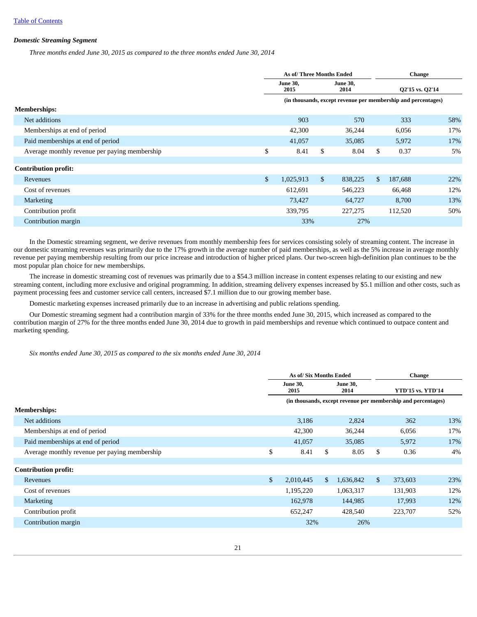# Table of Contents

#### *Domestic Streaming Segment*

*Three months ended June 30, 2015 as compared to the three months ended June 30, 2014*

|                                               |               | As of/ Three Months Ended |     |                         |    |                                                               | Change          |
|-----------------------------------------------|---------------|---------------------------|-----|-------------------------|----|---------------------------------------------------------------|-----------------|
|                                               |               | <b>June 30,</b><br>2015   |     | <b>June 30,</b><br>2014 |    |                                                               | Q2'15 vs. Q2'14 |
|                                               |               |                           |     |                         |    | (in thousands, except revenue per membership and percentages) |                 |
| <b>Memberships:</b>                           |               |                           |     |                         |    |                                                               |                 |
| Net additions                                 |               | 903                       |     | 570                     |    | 333                                                           | 58%             |
| Memberships at end of period                  |               | 42,300                    |     | 36,244                  |    | 6,056                                                         | 17%             |
| Paid memberships at end of period             |               | 41,057                    |     | 35,085                  |    | 5,972                                                         | 17%             |
| Average monthly revenue per paying membership | \$            | 8.41                      | -\$ | 8.04                    | -S | 0.37                                                          | 5%              |
|                                               |               |                           |     |                         |    |                                                               |                 |
| <b>Contribution profit:</b>                   |               |                           |     |                         |    |                                                               |                 |
| Revenues                                      | $\mathcal{S}$ | 1,025,913                 | -\$ | 838,225                 | S. | 187,688                                                       | 22%             |
| Cost of revenues                              |               | 612,691                   |     | 546,223                 |    | 66,468                                                        | 12%             |
| Marketing                                     |               | 73,427                    |     | 64,727                  |    | 8,700                                                         | 13%             |
| Contribution profit                           |               | 339,795                   |     | 227,275                 |    | 112,520                                                       | 50%             |
| Contribution margin                           |               | 33%                       |     | 27%                     |    |                                                               |                 |

In the Domestic streaming segment, we derive revenues from monthly membership fees for services consisting solely of streaming content. The increase in our domestic streaming revenues was primarily due to the 17% growth in the average number of paid memberships, as well as the 5% increase in average monthly revenue per paying membership resulting from our price increase and introduction of higher priced plans. Our two-screen high-definition plan continues to be the most popular plan choice for new memberships.

The increase in domestic streaming cost of revenues was primarily due to a \$54.3 million increase in content expenses relating to our existing and new streaming content, including more exclusive and original programming. In addition, streaming delivery expenses increased by \$5.1 million and other costs, such as payment processing fees and customer service call centers, increased \$7.1 million due to our growing member base.

Domestic marketing expenses increased primarily due to an increase in advertising and public relations spending.

Our Domestic streaming segment had a contribution margin of 33% for the three months ended June 30, 2015, which increased as compared to the contribution margin of 27% for the three months ended June 30, 2014 due to growth in paid memberships and revenue which continued to outpace content and marketing spending.

*Six months ended June 30, 2015 as compared to the six months ended June 30, 2014*

|                                               | As of/Six Months Ended  |     |                         |              | Change                                                        |     |
|-----------------------------------------------|-------------------------|-----|-------------------------|--------------|---------------------------------------------------------------|-----|
|                                               | <b>June 30,</b><br>2015 |     | <b>June 30,</b><br>2014 |              | YTD'15 vs. YTD'14                                             |     |
|                                               |                         |     |                         |              | (in thousands, except revenue per membership and percentages) |     |
| <b>Memberships:</b>                           |                         |     |                         |              |                                                               |     |
| Net additions                                 | 3,186                   |     | 2,824                   |              | 362                                                           | 13% |
| Memberships at end of period                  | 42,300                  |     | 36,244                  |              | 6,056                                                         | 17% |
| Paid memberships at end of period             | 41,057                  |     | 35,085                  |              | 5,972                                                         | 17% |
| Average monthly revenue per paying membership | 8.41                    | -\$ | 8.05                    | <sup>S</sup> | 0.36                                                          | 4%  |
|                                               |                         |     |                         |              |                                                               |     |
| <b>Contribution profit:</b>                   |                         |     |                         |              |                                                               |     |
| Revenues                                      | 2,010,445               |     | 1,636,842               |              | 373,603                                                       | 23% |
| Cost of revenues                              | 1,195,220               |     | 1,063,317               |              | 131,903                                                       | 12% |
| Marketing                                     | 162,978                 |     | 144,985                 |              | 17,993                                                        | 12% |
| Contribution profit                           | 652,247                 |     | 428,540                 |              | 223,707                                                       | 52% |
| Contribution margin                           | 32%                     |     | 26%                     |              |                                                               |     |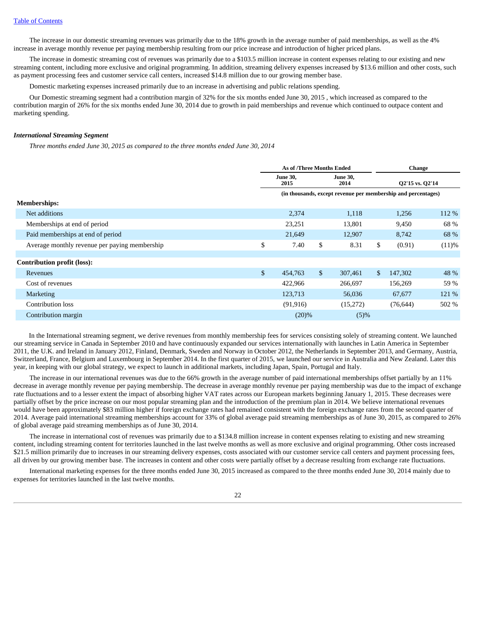The increase in our domestic streaming revenues was primarily due to the 18% growth in the average number of paid memberships, as well as the 4% increase in average monthly revenue per paying membership resulting from our price increase and introduction of higher priced plans.

The increase in domestic streaming cost of revenues was primarily due to a \$103.5 million increase in content expenses relating to our existing and new streaming content, including more exclusive and original programming. In addition, streaming delivery expenses increased by \$13.6 million and other costs, such as payment processing fees and customer service call centers, increased \$14.8 million due to our growing member base.

Domestic marketing expenses increased primarily due to an increase in advertising and public relations spending.

Our Domestic streaming segment had a contribution margin of 32% for the six months ended June 30, 2015 , which increased as compared to the contribution margin of 26% for the six months ended June 30, 2014 due to growth in paid memberships and revenue which continued to outpace content and marketing spending.

#### *International Streaming Segment*

*Three months ended June 30, 2015 as compared to the three months ended June 30, 2014*

|                                               |   | As of /Three Months Ended |               |                         |               | <b>Change</b>                                                 |       |
|-----------------------------------------------|---|---------------------------|---------------|-------------------------|---------------|---------------------------------------------------------------|-------|
|                                               |   | <b>June 30,</b><br>2015   |               | <b>June 30,</b><br>2014 |               | Q2'15 vs. Q2'14                                               |       |
|                                               |   |                           |               |                         |               | (in thousands, except revenue per membership and percentages) |       |
| <b>Memberships:</b>                           |   |                           |               |                         |               |                                                               |       |
| Net additions                                 |   | 2,374                     |               | 1,118                   |               | 1,256                                                         | 112 % |
| Memberships at end of period                  |   | 23,251                    |               | 13,801                  |               | 9,450                                                         | 68 %  |
| Paid memberships at end of period             |   | 21,649                    |               | 12,907                  |               | 8,742                                                         | 68 %  |
| Average monthly revenue per paying membership | ъ | 7.40                      | \$            | 8.31                    | $\mathcal{S}$ | (0.91)                                                        | (11)% |
|                                               |   |                           |               |                         |               |                                                               |       |
| <b>Contribution profit (loss):</b>            |   |                           |               |                         |               |                                                               |       |
| Revenues                                      |   | 454,763                   | <sup>\$</sup> | 307,461                 |               | 147,302                                                       | 48 %  |
| Cost of revenues                              |   | 422,966                   |               | 266,697                 |               | 156,269                                                       | 59 %  |
| Marketing                                     |   | 123,713                   |               | 56,036                  |               | 67,677                                                        | 121 % |
| Contribution loss                             |   | (91, 916)                 |               | (15,272)                |               | (76, 644)                                                     | 502 % |
| Contribution margin                           |   | (20)%                     |               | (5)%                    |               |                                                               |       |

In the International streaming segment, we derive revenues from monthly membership fees for services consisting solely of streaming content. We launched our streaming service in Canada in September 2010 and have continuously expanded our services internationally with launches in Latin America in September 2011, the U.K. and Ireland in January 2012, Finland, Denmark, Sweden and Norway in October 2012, the Netherlands in September 2013, and Germany, Austria, Switzerland, France, Belgium and Luxembourg in September 2014. In the first quarter of 2015, we launched our service in Australia and New Zealand. Later this year, in keeping with our global strategy, we expect to launch in additional markets, including Japan, Spain, Portugal and Italy.

The increase in our international revenues was due to the 66% growth in the average number of paid international memberships offset partially by an 11% decrease in average monthly revenue per paying membership. The decrease in average monthly revenue per paying membership was due to the impact of exchange rate fluctuations and to a lesser extent the impact of absorbing higher VAT rates across our European markets beginning January 1, 2015. These decreases were partially offset by the price increase on our most popular streaming plan and the introduction of the premium plan in 2014. We believe international revenues would have been approximately \$83 million higher if foreign exchange rates had remained consistent with the foreign exchange rates from the second quarter of 2014. Average paid international streaming memberships account for 33% of global average paid streaming memberships as of June 30, 2015, as compared to 26% of global average paid streaming memberships as of June 30, 2014.

The increase in international cost of revenues was primarily due to a \$134.8 million increase in content expenses relating to existing and new streaming content, including streaming content for territories launched in the last twelve months as well as more exclusive and original programming. Other costs increased \$21.5 million primarily due to increases in our streaming delivery expenses, costs associated with our customer service call centers and payment processing fees, all driven by our growing member base. The increases in content and other costs were partially offset by a decrease resulting from exchange rate fluctuations.

International marketing expenses for the three months ended June 30, 2015 increased as compared to the three months ended June 30, 2014 mainly due to expenses for territories launched in the last twelve months.

22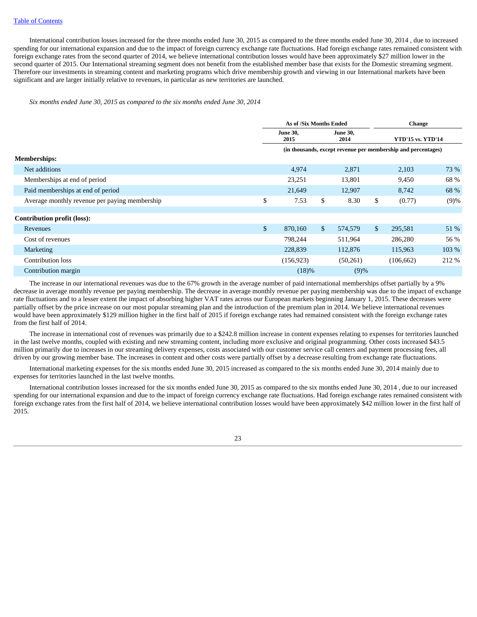International contribution losses increased for the three months ended June 30, 2015 as compared to the three months ended June 30, 2014 , due to increased spending for our international expansion and due to the impact of foreign currency exchange rate fluctuations. Had foreign exchange rates remained consistent with foreign exchange rates from the second quarter of 2014, we believe international contribution losses would have been approximately \$27 million lower in the second quarter of 2015. Our International streaming segment does not benefit from the established member base that exists for the Domestic streaming segment. Therefore our investments in streaming content and marketing programs which drive membership growth and viewing in our International markets have been significant and are larger initially relative to revenues, in particular as new territories are launched.

*Six months ended June 30, 2015 as compared to the six months ended June 30, 2014*

|                                               |               | As of /Six Months Ended |    |                         |               | Change                                                        |       |
|-----------------------------------------------|---------------|-------------------------|----|-------------------------|---------------|---------------------------------------------------------------|-------|
|                                               |               | <b>June 30,</b><br>2015 |    | <b>June 30,</b><br>2014 |               | YTD'15 vs. YTD'14                                             |       |
|                                               |               |                         |    |                         |               | (in thousands, except revenue per membership and percentages) |       |
| <b>Memberships:</b>                           |               |                         |    |                         |               |                                                               |       |
| Net additions                                 |               | 4,974                   |    | 2,871                   |               | 2,103                                                         | 73 %  |
| Memberships at end of period                  |               | 23,251                  |    | 13,801                  |               | 9,450                                                         | 68 %  |
| Paid memberships at end of period             |               | 21,649                  |    | 12,907                  |               | 8,742                                                         | 68 %  |
| Average monthly revenue per paying membership | \$            | 7.53                    | S. | 8.30                    | $\mathcal{S}$ | (0.77)                                                        | (9)%  |
|                                               |               |                         |    |                         |               |                                                               |       |
| <b>Contribution profit (loss):</b>            |               |                         |    |                         |               |                                                               |       |
| Revenues                                      | <sup>\$</sup> | 870,160                 |    | 574,579                 | - 76          | 295,581                                                       | 51 %  |
| Cost of revenues                              |               | 798,244                 |    | 511,964                 |               | 286,280                                                       | 56 %  |
| Marketing                                     |               | 228,839                 |    | 112,876                 |               | 115,963                                                       | 103 % |
| Contribution loss                             |               | (156, 923)              |    | (50,261)                |               | (106, 662)                                                    | 212 % |
| Contribution margin                           |               | (18)%                   |    | (9)%                    |               |                                                               |       |

The increase in our international revenues was due to the 67% growth in the average number of paid international memberships offset partially by a 9% decrease in average monthly revenue per paying membership. The decrease in average monthly revenue per paying membership was due to the impact of exchange rate fluctuations and to a lesser extent the impact of absorbing higher VAT rates across our European markets beginning January 1, 2015. These decreases were partially offset by the price increase on our most popular streaming plan and the introduction of the premium plan in 2014. We believe international revenues would have been approximately \$129 million higher in the first half of 2015 if foreign exchange rates had remained consistent with the foreign exchange rates from the first half of 2014.

The increase in international cost of revenues was primarily due to a \$242.8 million increase in content expenses relating to expenses for territories launched in the last twelve months, coupled with existing and new streaming content, including more exclusive and original programming. Other costs increased \$43.5 million primarily due to increases in our streaming delivery expenses, costs associated with our customer service call centers and payment processing fees, all driven by our growing member base. The increases in content and other costs were partially offset by a decrease resulting from exchange rate fluctuations.

International marketing expenses for the six months ended June 30, 2015 increased as compared to the six months ended June 30, 2014 mainly due to expenses for territories launched in the last twelve months.

International contribution losses increased for the six months ended June 30, 2015 as compared to the six months ended June 30, 2014 , due to our increased spending for our international expansion and due to the impact of foreign currency exchange rate fluctuations. Had foreign exchange rates remained consistent with foreign exchange rates from the first half of 2014, we believe international contribution losses would have been approximately \$42 million lower in the first half of 2015.

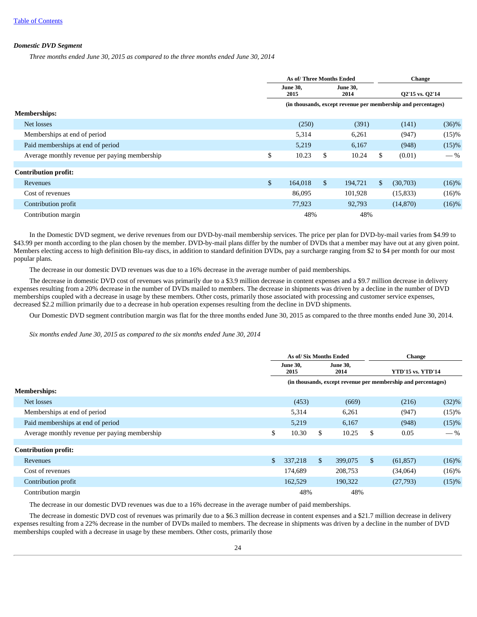# *Domestic DVD Segment*

*Three months ended June 30, 2015 as compared to the three months ended June 30, 2014*

|                                               | As of/ Three Months Ended |      |                         |      | <b>Change</b>                                                 |          |
|-----------------------------------------------|---------------------------|------|-------------------------|------|---------------------------------------------------------------|----------|
|                                               | <b>June 30,</b><br>2015   |      | <b>June 30,</b><br>2014 |      | Q2'15 vs. Q2'14                                               |          |
|                                               |                           |      |                         |      | (in thousands, except revenue per membership and percentages) |          |
| <b>Memberships:</b>                           |                           |      |                         |      |                                                               |          |
| Net losses                                    | (250)                     |      | (391)                   |      | (141)                                                         | (36)%    |
| Memberships at end of period                  | 5,314                     |      | 6,261                   |      | (947)                                                         | (15)%    |
| Paid memberships at end of period             | 5,219                     |      | 6,167                   |      | (948)                                                         | (15)%    |
| Average monthly revenue per paying membership | 10.23                     | -\$  | 10.24                   | - \$ | (0.01)                                                        | $-$ %    |
|                                               |                           |      |                         |      |                                                               |          |
| <b>Contribution profit:</b>                   |                           |      |                         |      |                                                               |          |
| Revenues                                      | 164,018                   | - 35 | 194,721                 |      | (30,703)                                                      | (16)%    |
| Cost of revenues                              | 86,095                    |      | 101,928                 |      | (15, 833)                                                     | (16)%    |
| Contribution profit                           | 77,923                    |      | 92,793                  |      | (14, 870)                                                     | $(16)$ % |
| Contribution margin                           | 48%                       |      | 48%                     |      |                                                               |          |

In the Domestic DVD segment, we derive revenues from our DVD-by-mail membership services. The price per plan for DVD-by-mail varies from \$4.99 to \$43.99 per month according to the plan chosen by the member. DVD-by-mail plans differ by the number of DVDs that a member may have out at any given point. Members electing access to high definition Blu-ray discs, in addition to standard definition DVDs, pay a surcharge ranging from \$2 to \$4 per month for our most popular plans.

The decrease in our domestic DVD revenues was due to a 16% decrease in the average number of paid memberships.

The decrease in domestic DVD cost of revenues was primarily due to a \$3.9 million decrease in content expenses and a \$9.7 million decrease in delivery expenses resulting from a 20% decrease in the number of DVDs mailed to members. The decrease in shipments was driven by a decline in the number of DVD memberships coupled with a decrease in usage by these members. Other costs, primarily those associated with processing and customer service expenses, decreased \$2.2 million primarily due to a decrease in hub operation expenses resulting from the decline in DVD shipments.

Our Domestic DVD segment contribution margin was flat for the three months ended June 30, 2015 as compared to the three months ended June 30, 2014.

*Six months ended June 30, 2015 as compared to the six months ended June 30, 2014*

|                                               |               | As of/Six Months Ended  |               |                         |              | Change                                                        |          |
|-----------------------------------------------|---------------|-------------------------|---------------|-------------------------|--------------|---------------------------------------------------------------|----------|
|                                               |               | <b>June 30,</b><br>2015 |               | <b>June 30,</b><br>2014 |              | YTD'15 vs. YTD'14                                             |          |
|                                               |               |                         |               |                         |              | (in thousands, except revenue per membership and percentages) |          |
| <b>Memberships:</b>                           |               |                         |               |                         |              |                                                               |          |
| Net losses                                    |               | (453)                   |               | (669)                   |              | (216)                                                         | (32)%    |
| Memberships at end of period                  |               | 5,314                   |               | 6,261                   |              | (947)                                                         | $(15)\%$ |
| Paid memberships at end of period             |               | 5,219                   |               | 6,167                   |              | (948)                                                         | (15)%    |
| Average monthly revenue per paying membership | <b>S</b>      | 10.30                   | <sup>S</sup>  | 10.25                   | $\mathbf{s}$ | 0.05                                                          | $-\%$    |
|                                               |               |                         |               |                         |              |                                                               |          |
| <b>Contribution profit:</b>                   |               |                         |               |                         |              |                                                               |          |
| Revenues                                      | $\mathcal{S}$ | 337,218                 | <sup>\$</sup> | 399,075                 | - \$         | (61, 857)                                                     | $(16)$ % |
| Cost of revenues                              |               | 174,689                 |               | 208,753                 |              | (34,064)                                                      | $(16)$ % |
| Contribution profit                           |               | 162,529                 |               | 190,322                 |              | (27,793)                                                      | (15)%    |
| Contribution margin                           |               | 48%                     |               | 48%                     |              |                                                               |          |

The decrease in our domestic DVD revenues was due to a 16% decrease in the average number of paid memberships.

The decrease in domestic DVD cost of revenues was primarily due to a \$6.3 million decrease in content expenses and a \$21.7 million decrease in delivery expenses resulting from a 22% decrease in the number of DVDs mailed to members. The decrease in shipments was driven by a decline in the number of DVD memberships coupled with a decrease in usage by these members. Other costs, primarily those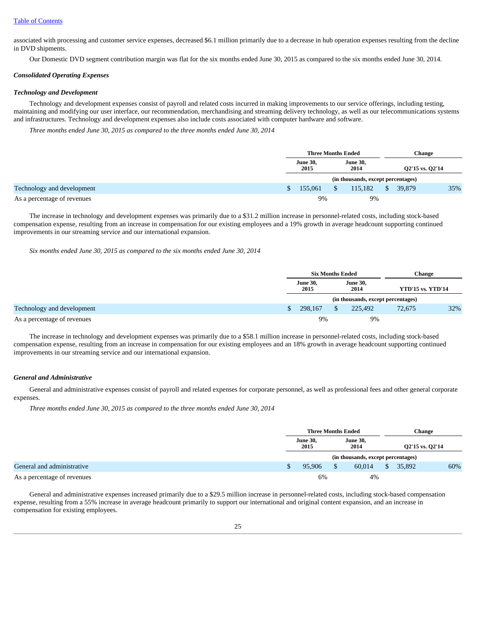associated with processing and customer service expenses, decreased \$6.1 million primarily due to a decrease in hub operation expenses resulting from the decline in DVD shipments.

Our Domestic DVD segment contribution margin was flat for the six months ended June 30, 2015 as compared to the six months ended June 30, 2014.

#### *Consolidated Operating Expenses*

#### *Technology and Development*

Technology and development expenses consist of payroll and related costs incurred in making improvements to our service offerings, including testing, maintaining and modifying our user interface, our recommendation, merchandising and streaming delivery technology, as well as our telecommunications systems and infrastructures. Technology and development expenses also include costs associated with computer hardware and software.

*Three months ended June 30, 2015 as compared to the three months ended June 30, 2014*

|                             |                                    | <b>Three Months Ended</b> |                         |        | <b>Change</b>   |  |  |
|-----------------------------|------------------------------------|---------------------------|-------------------------|--------|-----------------|--|--|
|                             | <b>June 30,</b><br>2015            |                           | <b>June 30,</b><br>2014 |        | Q2'15 vs. Q2'14 |  |  |
|                             | (in thousands, except percentages) |                           |                         |        |                 |  |  |
| Technology and development  | 155,061                            |                           | 115,182                 | 39,879 | 35%             |  |  |
| As a percentage of revenues |                                    | 9%                        | 9%                      |        |                 |  |  |

The increase in technology and development expenses was primarily due to a \$31.2 million increase in personnel-related costs, including stock-based compensation expense, resulting from an increase in compensation for our existing employees and a 19% growth in average headcount supporting continued improvements in our streaming service and our international expansion.

*Six months ended June 30, 2015 as compared to the six months ended June 30, 2014*

|                             | <b>Six Months Ended</b> |                                    | <b>Change</b>            |     |
|-----------------------------|-------------------------|------------------------------------|--------------------------|-----|
|                             | <b>June 30,</b><br>2015 | <b>June 30,</b><br>2014            | <b>YTD'15 vs. YTD'14</b> |     |
|                             |                         | (in thousands, except percentages) |                          |     |
| Technology and development  | 298,167                 | 225,492                            | 72,675                   | 32% |
| As a percentage of revenues | 9%                      | 9%                                 |                          |     |

The increase in technology and development expenses was primarily due to a \$58.1 million increase in personnel-related costs, including stock-based compensation expense, resulting from an increase in compensation for our existing employees and an 18% growth in average headcount supporting continued improvements in our streaming service and our international expansion.

#### *General and Administrative*

General and administrative expenses consist of payroll and related expenses for corporate personnel, as well as professional fees and other general corporate expenses.

*Three months ended June 30, 2015 as compared to the three months ended June 30, 2014*

|                             |                                    | <b>Three Months Ended</b> | <b>Change</b>   |     |  |  |
|-----------------------------|------------------------------------|---------------------------|-----------------|-----|--|--|
|                             | June 30,<br>2015                   | June 30,<br>2014          | Q2'15 vs. Q2'14 |     |  |  |
|                             | (in thousands, except percentages) |                           |                 |     |  |  |
| General and administrative  | 95,906                             | 60,014                    | 35,892          | 60% |  |  |
| As a percentage of revenues | 6%                                 | 4%                        |                 |     |  |  |

General and administrative expenses increased primarily due to a \$29.5 million increase in personnel-related costs, including stock-based compensation expense, resulting from a 55% increase in average headcount primarily to support our international and original content expansion, and an increase in compensation for existing employees.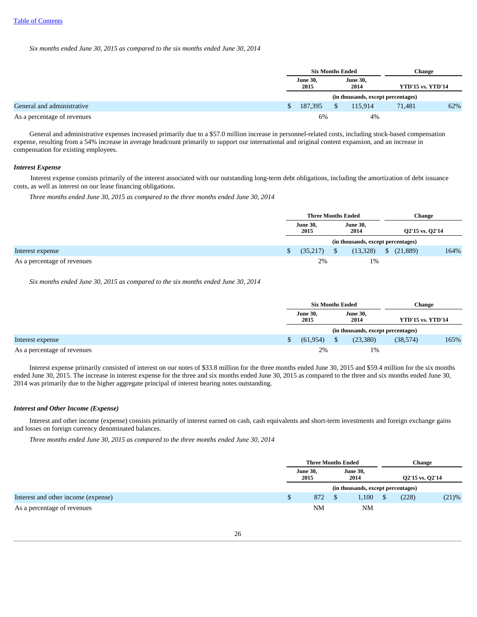*Six months ended June 30, 2015 as compared to the six months ended June 30, 2014*

|                             |                         | <b>Six Months Ended</b>            | <b>Change</b>     |     |  |
|-----------------------------|-------------------------|------------------------------------|-------------------|-----|--|
|                             | <b>June 30,</b><br>2015 | <b>June 30,</b><br>2014            | YTD'15 vs. YTD'14 |     |  |
|                             |                         | (in thousands, except percentages) |                   |     |  |
| General and administrative  | 187,395                 | 115,914                            | 71,481            | 62% |  |
| As a percentage of revenues | 6%                      | 4%                                 |                   |     |  |

General and administrative expenses increased primarily due to a \$57.0 million increase in personnel-related costs, including stock-based compensation expense, resulting from a 54% increase in average headcount primarily to support our international and original content expansion, and an increase in compensation for existing employees.

#### *Interest Expense*

Interest expense consists primarily of the interest associated with our outstanding long-term debt obligations, including the amortization of debt issuance costs, as well as interest on our lease financing obligations.

*Three months ended June 30, 2015 as compared to the three months ended June 30, 2014*

|                             |                                    | <b>Three Months Ended</b> |                 | <b>Change</b> |  |
|-----------------------------|------------------------------------|---------------------------|-----------------|---------------|--|
|                             | June 30,<br>2015                   | <b>June 30,</b><br>2014   | Q2'15 vs. Q2'14 |               |  |
|                             | (in thousands, except percentages) |                           |                 |               |  |
| Interest expense            | (35,217)                           | (13,328)                  | (21, 889)       | 164%          |  |
| As a percentage of revenues | 2%                                 | 1%                        |                 |               |  |

*Six months ended June 30, 2015 as compared to the six months ended June 30, 2014*

|                             |                         | <b>Six Months Ended</b> |                                    | Change                   |  |
|-----------------------------|-------------------------|-------------------------|------------------------------------|--------------------------|--|
|                             | <b>June 30,</b><br>2015 | <b>June 30,</b><br>2014 |                                    | <b>YTD'15 vs. YTD'14</b> |  |
|                             |                         |                         | (in thousands, except percentages) |                          |  |
| Interest expense            | (61, 954)               | (23, 380)               | (38, 574)                          | 165%                     |  |
| As a percentage of revenues | 2%                      |                         | 1%                                 |                          |  |

Interest expense primarily consisted of interest on our notes of \$33.8 million for the three months ended June 30, 2015 and \$59.4 million for the six months ended June 30, 2015. The increase in interest expense for the three and six months ended June 30, 2015 as compared to the three and six months ended June 30, 2014 was primarily due to the higher aggregate principal of interest bearing notes outstanding.

#### *Interest and Other Income (Expense)*

Interest and other income (expense) consists primarily of interest earned on cash, cash equivalents and short-term investments and foreign exchange gains and losses on foreign currency denominated balances.

*Three months ended June 30, 2015 as compared to the three months ended June 30, 2014*

|                                     |                  | <b>Three Months Ended</b> |                         |                                    | Change |  |  |
|-------------------------------------|------------------|---------------------------|-------------------------|------------------------------------|--------|--|--|
|                                     | June 30,<br>2015 |                           | <b>June 30,</b><br>2014 | Q2'15 vs. Q2'14                    |        |  |  |
|                                     |                  |                           |                         | (in thousands, except percentages) |        |  |  |
| Interest and other income (expense) |                  | 872                       | 1,100                   | (228)                              | (21)%  |  |  |
| As a percentage of revenues         |                  | $\rm{NM}$                 | NM                      |                                    |        |  |  |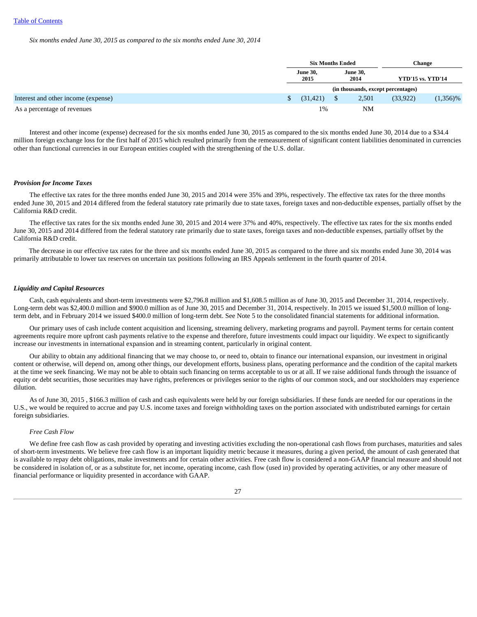*Six months ended June 30, 2015 as compared to the six months ended June 30, 2014*

|                                     |                         | <b>Six Months Ended</b>            | Change                   |  |  |
|-------------------------------------|-------------------------|------------------------------------|--------------------------|--|--|
|                                     | <b>June 30,</b><br>2015 | <b>June 30,</b><br>2014            | <b>YTD'15 vs. YTD'14</b> |  |  |
|                                     |                         | (in thousands, except percentages) |                          |  |  |
| Interest and other income (expense) | (31, 421)               | 2,501                              | $(1,356)\%$<br>(33, 922) |  |  |
| As a percentage of revenues         | 1%                      | <b>NM</b>                          |                          |  |  |

Interest and other income (expense) decreased for the six months ended June 30, 2015 as compared to the six months ended June 30, 2014 due to a \$34.4 million foreign exchange loss for the first half of 2015 which resulted primarily from the remeasurement of significant content liabilities denominated in currencies other than functional currencies in our European entities coupled with the strengthening of the U.S. dollar.

#### *Provision for Income Taxes*

The effective tax rates for the three months ended June 30, 2015 and 2014 were 35% and 39%, respectively. The effective tax rates for the three months ended June 30, 2015 and 2014 differed from the federal statutory rate primarily due to state taxes, foreign taxes and non-deductible expenses, partially offset by the California R&D credit.

The effective tax rates for the six months ended June 30, 2015 and 2014 were 37% and 40%, respectively. The effective tax rates for the six months ended June 30, 2015 and 2014 differed from the federal statutory rate primarily due to state taxes, foreign taxes and non-deductible expenses, partially offset by the California R&D credit.

The decrease in our effective tax rates for the three and six months ended June 30, 2015 as compared to the three and six months ended June 30, 2014 was primarily attributable to lower tax reserves on uncertain tax positions following an IRS Appeals settlement in the fourth quarter of 2014.

#### *Liquidity and Capital Resources*

Cash, cash equivalents and short-term investments were \$2,796.8 million and \$1,608.5 million as of June 30, 2015 and December 31, 2014, respectively. Long-term debt was \$2,400.0 million and \$900.0 million as of June 30, 2015 and December 31, 2014, respectively. In 2015 we issued \$1,500.0 million of longterm debt, and in February 2014 we issued \$400.0 million of long-term debt. See Note 5 to the consolidated financial statements for additional information.

Our primary uses of cash include content acquisition and licensing, streaming delivery, marketing programs and payroll. Payment terms for certain content agreements require more upfront cash payments relative to the expense and therefore, future investments could impact our liquidity. We expect to significantly increase our investments in international expansion and in streaming content, particularly in original content.

Our ability to obtain any additional financing that we may choose to, or need to, obtain to finance our international expansion, our investment in original content or otherwise, will depend on, among other things, our development efforts, business plans, operating performance and the condition of the capital markets at the time we seek financing. We may not be able to obtain such financing on terms acceptable to us or at all. If we raise additional funds through the issuance of equity or debt securities, those securities may have rights, preferences or privileges senior to the rights of our common stock, and our stockholders may experience dilution.

As of June 30, 2015 , \$166.3 million of cash and cash equivalents were held by our foreign subsidiaries. If these funds are needed for our operations in the U.S., we would be required to accrue and pay U.S. income taxes and foreign withholding taxes on the portion associated with undistributed earnings for certain foreign subsidiaries.

#### *Free Cash Flow*

We define free cash flow as cash provided by operating and investing activities excluding the non-operational cash flows from purchases, maturities and sales of short-term investments. We believe free cash flow is an important liquidity metric because it measures, during a given period, the amount of cash generated that is available to repay debt obligations, make investments and for certain other activities. Free cash flow is considered a non-GAAP financial measure and should not be considered in isolation of, or as a substitute for, net income, operating income, cash flow (used in) provided by operating activities, or any other measure of financial performance or liquidity presented in accordance with GAAP.

27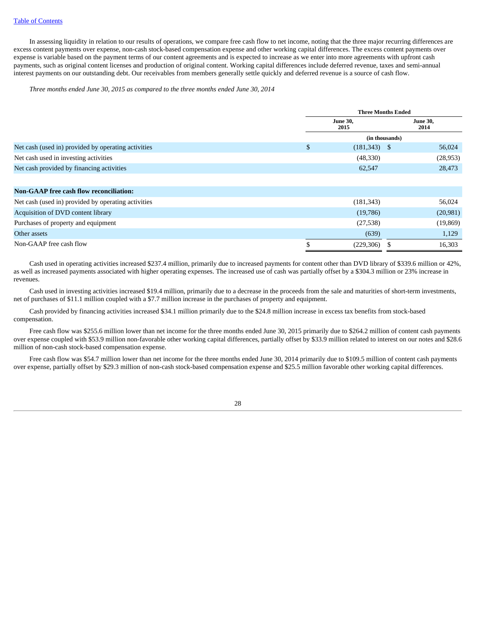In assessing liquidity in relation to our results of operations, we compare free cash flow to net income, noting that the three major recurring differences are excess content payments over expense, non-cash stock-based compensation expense and other working capital differences. The excess content payments over expense is variable based on the payment terms of our content agreements and is expected to increase as we enter into more agreements with upfront cash payments, such as original content licenses and production of original content. Working capital differences include deferred revenue, taxes and semi-annual interest payments on our outstanding debt. Our receivables from members generally settle quickly and deferred revenue is a source of cash flow.

#### *Three months ended June 30, 2015 as compared to the three months ended June 30, 2014*

|                                                     | <b>Three Months Ended</b> |                |                         |  |  |  |  |
|-----------------------------------------------------|---------------------------|----------------|-------------------------|--|--|--|--|
|                                                     | <b>June 30,</b><br>2015   |                | <b>June 30,</b><br>2014 |  |  |  |  |
|                                                     |                           | (in thousands) |                         |  |  |  |  |
| Net cash (used in) provided by operating activities | \$<br>$(181,343)$ \$      |                | 56,024                  |  |  |  |  |
| Net cash used in investing activities               | (48, 330)                 |                | (28,953)                |  |  |  |  |
| Net cash provided by financing activities           | 62,547                    |                | 28,473                  |  |  |  |  |
|                                                     |                           |                |                         |  |  |  |  |
| <b>Non-GAAP</b> free cash flow reconciliation:      |                           |                |                         |  |  |  |  |
| Net cash (used in) provided by operating activities | (181, 343)                |                | 56,024                  |  |  |  |  |
| Acquisition of DVD content library                  | (19,786)                  |                | (20,981)                |  |  |  |  |
| Purchases of property and equipment                 | (27, 538)                 |                | (19, 869)               |  |  |  |  |
| Other assets                                        | (639)                     |                | 1,129                   |  |  |  |  |
| Non-GAAP free cash flow                             | $(229,306)$ \$            |                | 16,303                  |  |  |  |  |

Cash used in operating activities increased \$237.4 million, primarily due to increased payments for content other than DVD library of \$339.6 million or 42%, as well as increased payments associated with higher operating expenses. The increased use of cash was partially offset by a \$304.3 million or 23% increase in revenues.

Cash used in investing activities increased \$19.4 million, primarily due to a decrease in the proceeds from the sale and maturities of short-term investments, net of purchases of \$11.1 million coupled with a \$7.7 million increase in the purchases of property and equipment.

Cash provided by financing activities increased \$34.1 million primarily due to the \$24.8 million increase in excess tax benefits from stock-based compensation.

Free cash flow was \$255.6 million lower than net income for the three months ended June 30, 2015 primarily due to \$264.2 million of content cash payments over expense coupled with \$53.9 million non-favorable other working capital differences, partially offset by \$33.9 million related to interest on our notes and \$28.6 million of non-cash stock-based compensation expense.

Free cash flow was \$54.7 million lower than net income for the three months ended June 30, 2014 primarily due to \$109.5 million of content cash payments over expense, partially offset by \$29.3 million of non-cash stock-based compensation expense and \$25.5 million favorable other working capital differences.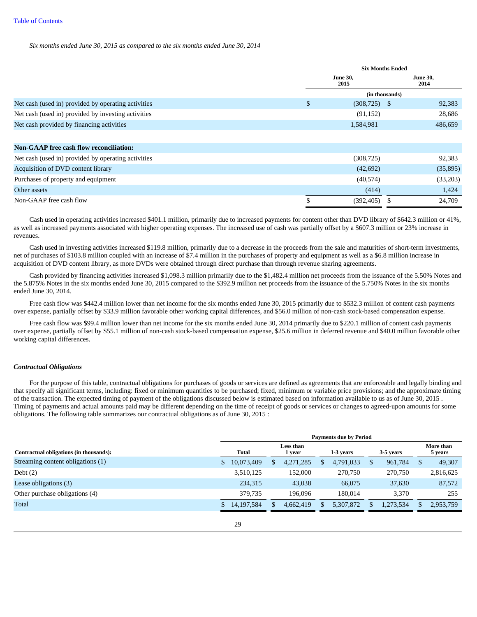*Six months ended June 30, 2015 as compared to the six months ended June 30, 2014*

|                                                     | <b>Six Months Ended</b> |                |  |  |  |  |
|-----------------------------------------------------|-------------------------|----------------|--|--|--|--|
|                                                     | <b>June 30,</b><br>2015 |                |  |  |  |  |
|                                                     |                         | (in thousands) |  |  |  |  |
| Net cash (used in) provided by operating activities | \$<br>$(308, 725)$ \$   | 92,383         |  |  |  |  |
| Net cash (used in) provided by investing activities | (91, 152)               | 28,686         |  |  |  |  |
| Net cash provided by financing activities           | 1,584,981               | 486,659        |  |  |  |  |
|                                                     |                         |                |  |  |  |  |
| <b>Non-GAAP</b> free cash flow reconciliation:      |                         |                |  |  |  |  |
| Net cash (used in) provided by operating activities | (308, 725)              | 92,383         |  |  |  |  |
| Acquisition of DVD content library                  | (42,692)                | (35,895)       |  |  |  |  |
| Purchases of property and equipment                 | (40,574)                | (33,203)       |  |  |  |  |
| Other assets                                        | (414)                   | 1,424          |  |  |  |  |
| Non-GAAP free cash flow                             | $(392, 405)$ \$         | 24,709         |  |  |  |  |

Cash used in operating activities increased \$401.1 million, primarily due to increased payments for content other than DVD library of \$642.3 million or 41%, as well as increased payments associated with higher operating expenses. The increased use of cash was partially offset by a \$607.3 million or 23% increase in revenues.

Cash used in investing activities increased \$119.8 million, primarily due to a decrease in the proceeds from the sale and maturities of short-term investments, net of purchases of \$103.8 million coupled with an increase of \$7.4 million in the purchases of property and equipment as well as a \$6.8 million increase in acquisition of DVD content library, as more DVDs were obtained through direct purchase than through revenue sharing agreements.

Cash provided by financing activities increased \$1,098.3 million primarily due to the \$1,482.4 million net proceeds from the issuance of the 5.50% Notes and the 5.875% Notes in the six months ended June 30, 2015 compared to the \$392.9 million net proceeds from the issuance of the 5.750% Notes in the six months ended June 30, 2014.

Free cash flow was \$442.4 million lower than net income for the six months ended June 30, 2015 primarily due to \$532.3 million of content cash payments over expense, partially offset by \$33.9 million favorable other working capital differences, and \$56.0 million of non-cash stock-based compensation expense.

Free cash flow was \$99.4 million lower than net income for the six months ended June 30, 2014 primarily due to \$220.1 million of content cash payments over expense, partially offset by \$55.1 million of non-cash stock-based compensation expense, \$25.6 million in deferred revenue and \$40.0 million favorable other working capital differences.

#### *Contractual Obligations*

For the purpose of this table, contractual obligations for purchases of goods or services are defined as agreements that are enforceable and legally binding and that specify all significant terms, including: fixed or minimum quantities to be purchased; fixed, minimum or variable price provisions; and the approximate timing of the transaction. The expected timing of payment of the obligations discussed below is estimated based on information available to us as of June 30, 2015 . Timing of payments and actual amounts paid may be different depending on the time of receipt of goods or services or changes to agreed-upon amounts for some obligations. The following table summarizes our contractual obligations as of June 30, 2015 :

|                                         |              |                     | <b>Payments due by Period</b> |           |                      |
|-----------------------------------------|--------------|---------------------|-------------------------------|-----------|----------------------|
| Contractual obligations (in thousands): | <b>Total</b> | Less than<br>1 year | 1-3 years                     | 3-5 years | More than<br>5 years |
| Streaming content obligations (1)       | \$10,073,409 | 4,271,285           | 4,791,033                     | 961,784   | 49,307               |
| Debt $(2)$                              | 3,510,125    | 152,000             | 270,750                       | 270,750   | 2,816,625            |
| Lease obligations (3)                   | 234,315      | 43,038              | 66,075                        | 37,630    | 87,572               |
| Other purchase obligations (4)          | 379,735      | 196,096             | 180,014                       | 3,370     | 255                  |
| Total                                   | \$14,197,584 | 4,662,419           | 5,307,872                     | 1,273,534 | 2,953,759            |
|                                         |              |                     |                               |           |                      |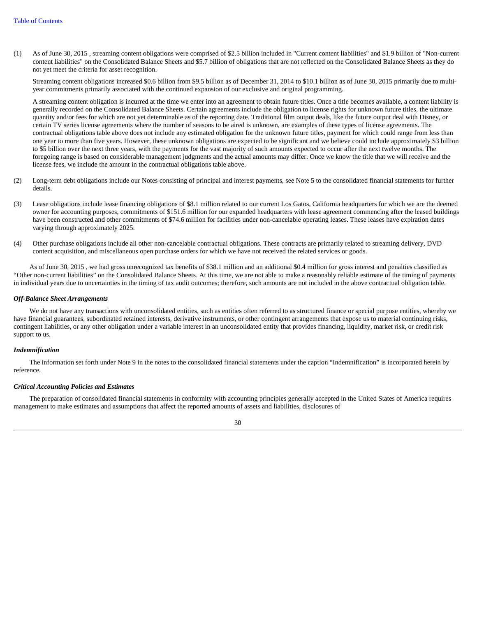(1) As of June 30, 2015 , streaming content obligations were comprised of \$2.5 billion included in "Current content liabilities" and \$1.9 billion of "Non-current content liabilities" on the Consolidated Balance Sheets and \$5.7 billion of obligations that are not reflected on the Consolidated Balance Sheets as they do not yet meet the criteria for asset recognition.

Streaming content obligations increased \$0.6 billion from \$9.5 billion as of December 31, 2014 to \$10.1 billion as of June 30, 2015 primarily due to multiyear commitments primarily associated with the continued expansion of our exclusive and original programming.

A streaming content obligation is incurred at the time we enter into an agreement to obtain future titles. Once a title becomes available, a content liability is generally recorded on the Consolidated Balance Sheets. Certain agreements include the obligation to license rights for unknown future titles, the ultimate quantity and/or fees for which are not yet determinable as of the reporting date. Traditional film output deals, like the future output deal with Disney, or certain TV series license agreements where the number of seasons to be aired is unknown, are examples of these types of license agreements. The contractual obligations table above does not include any estimated obligation for the unknown future titles, payment for which could range from less than one year to more than five years. However, these unknown obligations are expected to be significant and we believe could include approximately \$3 billion to \$5 billion over the next three years, with the payments for the vast majority of such amounts expected to occur after the next twelve months. The foregoing range is based on considerable management judgments and the actual amounts may differ. Once we know the title that we will receive and the license fees, we include the amount in the contractual obligations table above.

- (2) Long-term debt obligations include our Notes consisting of principal and interest payments, see Note 5 to the consolidated financial statements for further details.
- (3) Lease obligations include lease financing obligations of \$8.1 million related to our current Los Gatos, California headquarters for which we are the deemed owner for accounting purposes, commitments of \$151.6 million for our expanded headquarters with lease agreement commencing after the leased buildings have been constructed and other commitments of \$74.6 million for facilities under non-cancelable operating leases. These leases have expiration dates varying through approximately 2025.
- (4) Other purchase obligations include all other non-cancelable contractual obligations. These contracts are primarily related to streaming delivery, DVD content acquisition, and miscellaneous open purchase orders for which we have not received the related services or goods.

As of June 30, 2015 , we had gross unrecognized tax benefits of \$38.1 million and an additional \$0.4 million for gross interest and penalties classified as "Other non-current liabilities" on the Consolidated Balance Sheets. At this time, we are not able to make a reasonably reliable estimate of the timing of payments in individual years due to uncertainties in the timing of tax audit outcomes; therefore, such amounts are not included in the above contractual obligation table.

#### *Off-Balance Sheet Arrangements*

We do not have any transactions with unconsolidated entities, such as entities often referred to as structured finance or special purpose entities, whereby we have financial guarantees, subordinated retained interests, derivative instruments, or other contingent arrangements that expose us to material continuing risks, contingent liabilities, or any other obligation under a variable interest in an unconsolidated entity that provides financing, liquidity, market risk, or credit risk support to us.

#### *Indemnification*

The information set forth under Note 9 in the notes to the consolidated financial statements under the caption "Indemnification" is incorporated herein by reference.

#### *Critical Accounting Policies and Estimates*

The preparation of consolidated financial statements in conformity with accounting principles generally accepted in the United States of America requires management to make estimates and assumptions that affect the reported amounts of assets and liabilities, disclosures of

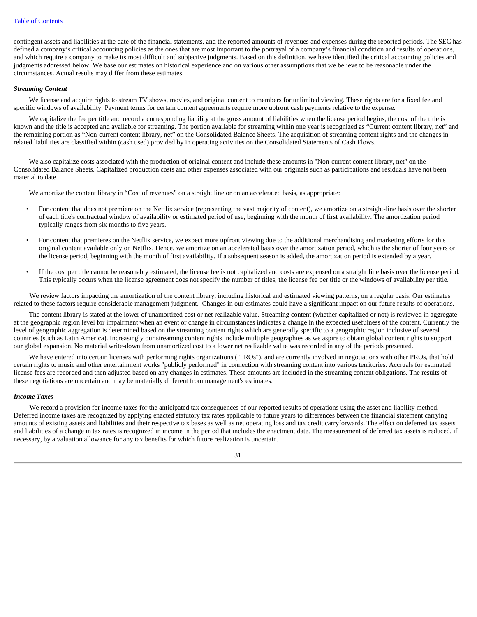contingent assets and liabilities at the date of the financial statements, and the reported amounts of revenues and expenses during the reported periods. The SEC has defined a company's critical accounting policies as the ones that are most important to the portrayal of a company's financial condition and results of operations, and which require a company to make its most difficult and subjective judgments. Based on this definition, we have identified the critical accounting policies and judgments addressed below. We base our estimates on historical experience and on various other assumptions that we believe to be reasonable under the circumstances. Actual results may differ from these estimates.

#### *Streaming Content*

We license and acquire rights to stream TV shows, movies, and original content to members for unlimited viewing. These rights are for a fixed fee and specific windows of availability. Payment terms for certain content agreements require more upfront cash payments relative to the expense.

We capitalize the fee per title and record a corresponding liability at the gross amount of liabilities when the license period begins, the cost of the title is known and the title is accepted and available for streaming. The portion available for streaming within one year is recognized as "Current content library, net" and the remaining portion as "Non-current content library, net" on the Consolidated Balance Sheets. The acquisition of streaming content rights and the changes in related liabilities are classified within (cash used) provided by in operating activities on the Consolidated Statements of Cash Flows.

We also capitalize costs associated with the production of original content and include these amounts in "Non-current content library, net" on the Consolidated Balance Sheets. Capitalized production costs and other expenses associated with our originals such as participations and residuals have not been material to date.

We amortize the content library in "Cost of revenues" on a straight line or on an accelerated basis, as appropriate:

- For content that does not premiere on the Netflix service (representing the vast majority of content), we amortize on a straight-line basis over the shorter of each title's contractual window of availability or estimated period of use, beginning with the month of first availability. The amortization period typically ranges from six months to five years.
- For content that premieres on the Netflix service, we expect more upfront viewing due to the additional merchandising and marketing efforts for this original content available only on Netflix. Hence, we amortize on an accelerated basis over the amortization period, which is the shorter of four years or the license period, beginning with the month of first availability. If a subsequent season is added, the amortization period is extended by a year.
- If the cost per title cannot be reasonably estimated, the license fee is not capitalized and costs are expensed on a straight line basis over the license period. This typically occurs when the license agreement does not specify the number of titles, the license fee per title or the windows of availability per title.

We review factors impacting the amortization of the content library, including historical and estimated viewing patterns, on a regular basis. Our estimates related to these factors require considerable management judgment. Changes in our estimates could have a significant impact on our future results of operations.

The content library is stated at the lower of unamortized cost or net realizable value. Streaming content (whether capitalized or not) is reviewed in aggregate at the geographic region level for impairment when an event or change in circumstances indicates a change in the expected usefulness of the content. Currently the level of geographic aggregation is determined based on the streaming content rights which are generally specific to a geographic region inclusive of several countries (such as Latin America). Increasingly our streaming content rights include multiple geographies as we aspire to obtain global content rights to support our global expansion. No material write-down from unamortized cost to a lower net realizable value was recorded in any of the periods presented.

We have entered into certain licenses with performing rights organizations ("PROs"), and are currently involved in negotiations with other PROs, that hold certain rights to music and other entertainment works "publicly performed" in connection with streaming content into various territories. Accruals for estimated license fees are recorded and then adjusted based on any changes in estimates. These amounts are included in the streaming content obligations. The results of these negotiations are uncertain and may be materially different from management's estimates.

#### *Income Taxes*

We record a provision for income taxes for the anticipated tax consequences of our reported results of operations using the asset and liability method. Deferred income taxes are recognized by applying enacted statutory tax rates applicable to future years to differences between the financial statement carrying amounts of existing assets and liabilities and their respective tax bases as well as net operating loss and tax credit carryforwards. The effect on deferred tax assets and liabilities of a change in tax rates is recognized in income in the period that includes the enactment date. The measurement of deferred tax assets is reduced, if necessary, by a valuation allowance for any tax benefits for which future realization is uncertain.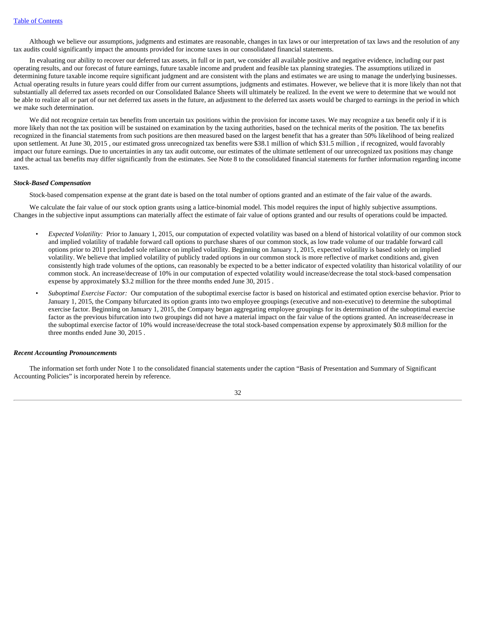Although we believe our assumptions, judgments and estimates are reasonable, changes in tax laws or our interpretation of tax laws and the resolution of any tax audits could significantly impact the amounts provided for income taxes in our consolidated financial statements.

In evaluating our ability to recover our deferred tax assets, in full or in part, we consider all available positive and negative evidence, including our past operating results, and our forecast of future earnings, future taxable income and prudent and feasible tax planning strategies. The assumptions utilized in determining future taxable income require significant judgment and are consistent with the plans and estimates we are using to manage the underlying businesses. Actual operating results in future years could differ from our current assumptions, judgments and estimates. However, we believe that it is more likely than not that substantially all deferred tax assets recorded on our Consolidated Balance Sheets will ultimately be realized. In the event we were to determine that we would not be able to realize all or part of our net deferred tax assets in the future, an adjustment to the deferred tax assets would be charged to earnings in the period in which we make such determination.

We did not recognize certain tax benefits from uncertain tax positions within the provision for income taxes. We may recognize a tax benefit only if it is more likely than not the tax position will be sustained on examination by the taxing authorities, based on the technical merits of the position. The tax benefits recognized in the financial statements from such positions are then measured based on the largest benefit that has a greater than 50% likelihood of being realized upon settlement. At June 30, 2015 , our estimated gross unrecognized tax benefits were \$38.1 million of which \$31.5 million , if recognized, would favorably impact our future earnings. Due to uncertainties in any tax audit outcome, our estimates of the ultimate settlement of our unrecognized tax positions may change and the actual tax benefits may differ significantly from the estimates. See Note 8 to the consolidated financial statements for further information regarding income taxes.

#### *Stock-Based Compensation*

Stock-based compensation expense at the grant date is based on the total number of options granted and an estimate of the fair value of the awards.

We calculate the fair value of our stock option grants using a lattice-binomial model. This model requires the input of highly subjective assumptions. Changes in the subjective input assumptions can materially affect the estimate of fair value of options granted and our results of operations could be impacted.

- *Expected Volatility:* Prior to January 1, 2015, our computation of expected volatility was based on a blend of historical volatility of our common stock and implied volatility of tradable forward call options to purchase shares of our common stock, as low trade volume of our tradable forward call options prior to 2011 precluded sole reliance on implied volatility. Beginning on January 1, 2015, expected volatility is based solely on implied volatility. We believe that implied volatility of publicly traded options in our common stock is more reflective of market conditions and, given consistently high trade volumes of the options, can reasonably be expected to be a better indicator of expected volatility than historical volatility of our common stock. An increase/decrease of 10% in our computation of expected volatility would increase/decrease the total stock-based compensation expense by approximately \$3.2 million for the three months ended June 30, 2015 .
- *Suboptimal Exercise Factor:* Our computation of the suboptimal exercise factor is based on historical and estimated option exercise behavior. Prior to January 1, 2015, the Company bifurcated its option grants into two employee groupings (executive and non-executive) to determine the suboptimal exercise factor. Beginning on January 1, 2015, the Company began aggregating employee groupings for its determination of the suboptimal exercise factor as the previous bifurcation into two groupings did not have a material impact on the fair value of the options granted. An increase/decrease in the suboptimal exercise factor of 10% would increase/decrease the total stock-based compensation expense by approximately \$0.8 million for the three months ended June 30, 2015 .

#### *Recent Accounting Pronouncements*

The information set forth under Note 1 to the consolidated financial statements under the caption "Basis of Presentation and Summary of Significant Accounting Policies" is incorporated herein by reference.

32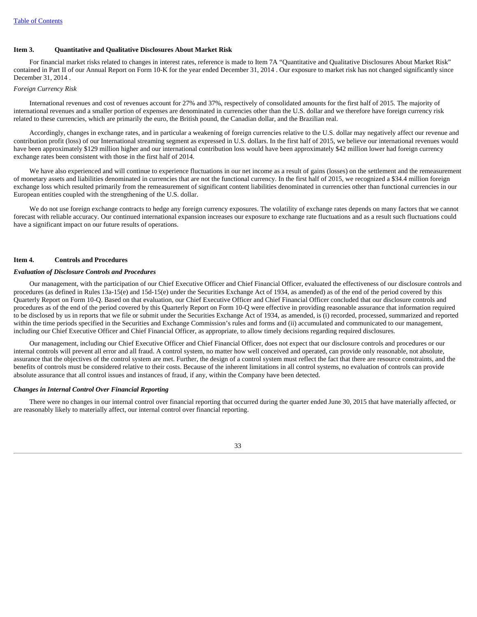#### **Item 3. Quantitative and Qualitative Disclosures About Market Risk**

For financial market risks related to changes in interest rates, reference is made to Item 7A "Quantitative and Qualitative Disclosures About Market Risk" contained in Part II of our Annual Report on Form 10-K for the year ended December 31, 2014 . Our exposure to market risk has not changed significantly since December 31, 2014 .

# *Foreign Currency Risk*

International revenues and cost of revenues account for 27% and 37%, respectively of consolidated amounts for the first half of 2015. The majority of international revenues and a smaller portion of expenses are denominated in currencies other than the U.S. dollar and we therefore have foreign currency risk related to these currencies, which are primarily the euro, the British pound, the Canadian dollar, and the Brazilian real.

Accordingly, changes in exchange rates, and in particular a weakening of foreign currencies relative to the U.S. dollar may negatively affect our revenue and contribution profit (loss) of our International streaming segment as expressed in U.S. dollars. In the first half of 2015, we believe our international revenues would have been approximately \$129 million higher and our international contribution loss would have been approximately \$42 million lower had foreign currency exchange rates been consistent with those in the first half of 2014.

We have also experienced and will continue to experience fluctuations in our net income as a result of gains (losses) on the settlement and the remeasurement of monetary assets and liabilities denominated in currencies that are not the functional currency. In the first half of 2015, we recognized a \$34.4 million foreign exchange loss which resulted primarily from the remeasurement of significant content liabilities denominated in currencies other than functional currencies in our European entities coupled with the strengthening of the U.S. dollar.

We do not use foreign exchange contracts to hedge any foreign currency exposures. The volatility of exchange rates depends on many factors that we cannot forecast with reliable accuracy. Our continued international expansion increases our exposure to exchange rate fluctuations and as a result such fluctuations could have a significant impact on our future results of operations.

#### **Item 4. Controls and Procedures**

#### *Evaluation of Disclosure Controls and Procedures*

Our management, with the participation of our Chief Executive Officer and Chief Financial Officer, evaluated the effectiveness of our disclosure controls and procedures (as defined in Rules 13a-15(e) and 15d-15(e) under the Securities Exchange Act of 1934, as amended) as of the end of the period covered by this Quarterly Report on Form 10-Q. Based on that evaluation, our Chief Executive Officer and Chief Financial Officer concluded that our disclosure controls and procedures as of the end of the period covered by this Quarterly Report on Form 10-Q were effective in providing reasonable assurance that information required to be disclosed by us in reports that we file or submit under the Securities Exchange Act of 1934, as amended, is (i) recorded, processed, summarized and reported within the time periods specified in the Securities and Exchange Commission's rules and forms and (ii) accumulated and communicated to our management, including our Chief Executive Officer and Chief Financial Officer, as appropriate, to allow timely decisions regarding required disclosures.

Our management, including our Chief Executive Officer and Chief Financial Officer, does not expect that our disclosure controls and procedures or our internal controls will prevent all error and all fraud. A control system, no matter how well conceived and operated, can provide only reasonable, not absolute, assurance that the objectives of the control system are met. Further, the design of a control system must reflect the fact that there are resource constraints, and the benefits of controls must be considered relative to their costs. Because of the inherent limitations in all control systems, no evaluation of controls can provide absolute assurance that all control issues and instances of fraud, if any, within the Company have been detected.

#### *Changes in Internal Control Over Financial Reporting*

There were no changes in our internal control over financial reporting that occurred during the quarter ended June 30, 2015 that have materially affected, or are reasonably likely to materially affect, our internal control over financial reporting.

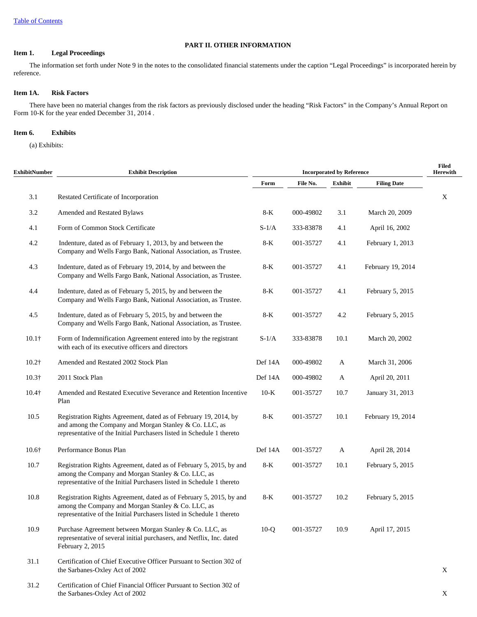# **PART II. OTHER INFORMATION**

# **Item 1. Legal Proceedings**

The information set forth under Note 9 in the notes to the consolidated financial statements under the caption "Legal Proceedings" is incorporated herein by reference.

#### **Item 1A. Risk Factors**

There have been no material changes from the risk factors as previously disclosed under the heading "Risk Factors" in the Company's Annual Report on Form 10-K for the year ended December 31, 2014 .

# **Item 6. Exhibits**

(a) Exhibits:

| <b>ExhibitNumber</b> | <b>Exhibit Description</b>                                                                                                                                                                          |         | <b>Incorporated by Reference</b> |                |                    |                           |  |  |
|----------------------|-----------------------------------------------------------------------------------------------------------------------------------------------------------------------------------------------------|---------|----------------------------------|----------------|--------------------|---------------------------|--|--|
|                      |                                                                                                                                                                                                     | Form    | File No.                         | <b>Exhibit</b> | <b>Filing Date</b> |                           |  |  |
| 3.1                  | Restated Certificate of Incorporation                                                                                                                                                               |         |                                  |                |                    | $\mathbf X$               |  |  |
| 3.2                  | Amended and Restated Bylaws                                                                                                                                                                         | 8-K     | 000-49802                        | 3.1            | March 20, 2009     |                           |  |  |
| 4.1                  | Form of Common Stock Certificate                                                                                                                                                                    | $S-1/A$ | 333-83878                        | 4.1            | April 16, 2002     |                           |  |  |
| 4.2                  | Indenture, dated as of February 1, 2013, by and between the<br>Company and Wells Fargo Bank, National Association, as Trustee.                                                                      | 8-K     | 001-35727                        | 4.1            | February 1, 2013   |                           |  |  |
| 4.3                  | Indenture, dated as of February 19, 2014, by and between the<br>Company and Wells Fargo Bank, National Association, as Trustee.                                                                     | $8-K$   | 001-35727                        | 4.1            | February 19, 2014  |                           |  |  |
| 4.4                  | Indenture, dated as of February 5, 2015, by and between the<br>Company and Wells Fargo Bank, National Association, as Trustee.                                                                      | $8-K$   | 001-35727                        | 4.1            | February 5, 2015   |                           |  |  |
| 4.5                  | Indenture, dated as of February 5, 2015, by and between the<br>Company and Wells Fargo Bank, National Association, as Trustee.                                                                      | $8-K$   | 001-35727                        | 4.2            | February 5, 2015   |                           |  |  |
| $10.1\dagger$        | Form of Indemnification Agreement entered into by the registrant<br>with each of its executive officers and directors                                                                               | $S-1/A$ | 333-83878                        | 10.1           | March 20, 2002     |                           |  |  |
| $10.2\dagger$        | Amended and Restated 2002 Stock Plan                                                                                                                                                                | Def 14A | 000-49802                        | A              | March 31, 2006     |                           |  |  |
| $10.3\dagger$        | 2011 Stock Plan                                                                                                                                                                                     | Def 14A | 000-49802                        | A              | April 20, 2011     |                           |  |  |
| $10.4\dagger$        | Amended and Restated Executive Severance and Retention Incentive<br>Plan                                                                                                                            | $10-K$  | 001-35727                        | 10.7           | January 31, 2013   |                           |  |  |
| 10.5                 | Registration Rights Agreement, dated as of February 19, 2014, by<br>and among the Company and Morgan Stanley & Co. LLC, as<br>representative of the Initial Purchasers listed in Schedule 1 thereto | 8-K     | 001-35727                        | 10.1           | February 19, 2014  |                           |  |  |
| $10.6\dagger$        | Performance Bonus Plan                                                                                                                                                                              | Def 14A | 001-35727                        | A              | April 28, 2014     |                           |  |  |
| 10.7                 | Registration Rights Agreement, dated as of February 5, 2015, by and<br>among the Company and Morgan Stanley & Co. LLC, as<br>representative of the Initial Purchasers listed in Schedule 1 thereto  | 8-K     | 001-35727                        | 10.1           | February 5, 2015   |                           |  |  |
| 10.8                 | Registration Rights Agreement, dated as of February 5, 2015, by and<br>among the Company and Morgan Stanley & Co. LLC, as<br>representative of the Initial Purchasers listed in Schedule 1 thereto  | 8-K     | 001-35727                        | 10.2           | February 5, 2015   |                           |  |  |
| 10.9                 | Purchase Agreement between Morgan Stanley & Co. LLC, as<br>representative of several initial purchasers, and Netflix, Inc. dated<br>February 2, 2015                                                | $10-Q$  | 001-35727                        | 10.9           | April 17, 2015     |                           |  |  |
| 31.1                 | Certification of Chief Executive Officer Pursuant to Section 302 of<br>the Sarbanes-Oxley Act of 2002                                                                                               |         |                                  |                |                    | $\boldsymbol{\mathrm{X}}$ |  |  |
| 31.2                 | Certification of Chief Financial Officer Pursuant to Section 302 of<br>the Sarbanes-Oxley Act of 2002                                                                                               |         |                                  |                |                    | X                         |  |  |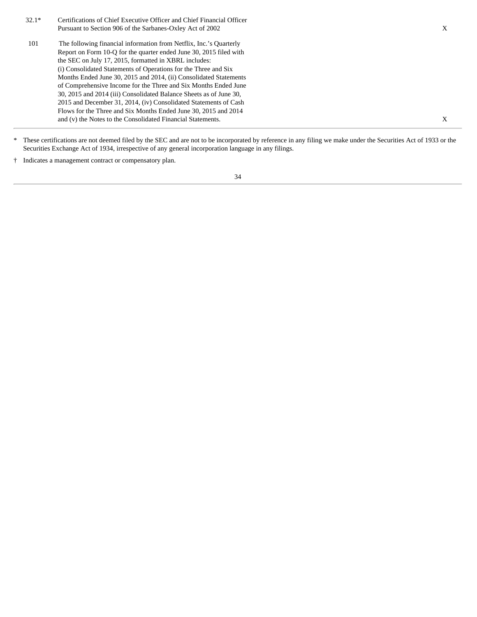32.1\* Certifications of Chief Executive Officer and Chief Financial Officer Pursuant to Section 906 of the Sarbanes-Oxley Act of 2002 X

101 The following financial information from Netflix, Inc.'s Quarterly Report on Form 10-Q for the quarter ended June 30, 2015 filed with the SEC on July 17, 2015, formatted in XBRL includes: (i) Consolidated Statements of Operations for the Three and Six Months Ended June 30, 2015 and 2014, (ii) Consolidated Statements of Comprehensive Income for the Three and Six Months Ended June 30, 2015 and 2014 (iii) Consolidated Balance Sheets as of June 30, 2015 and December 31, 2014, (iv) Consolidated Statements of Cash Flows for the Three and Six Months Ended June 30, 2015 and 2014 and (v) the Notes to the Consolidated Financial Statements. X

\* These certifications are not deemed filed by the SEC and are not to be incorporated by reference in any filing we make under the Securities Act of 1933 or the Securities Exchange Act of 1934, irrespective of any general incorporation language in any filings.

† Indicates a management contract or compensatory plan.

34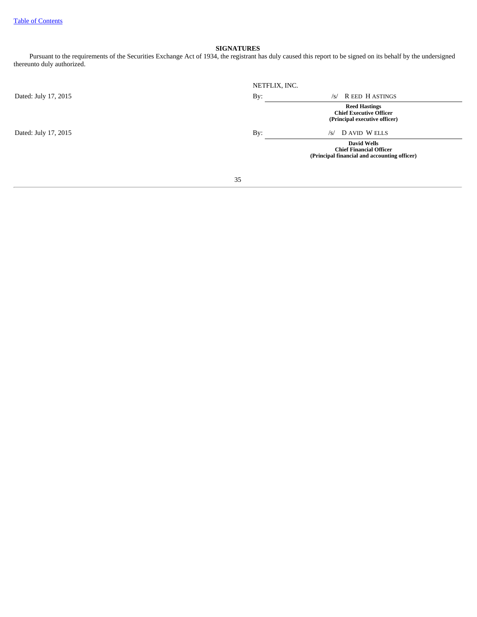#### **SIGNATURES**

Pursuant to the requirements of the Securities Exchange Act of 1934, the registrant has duly caused this report to be signed on its behalf by the undersigned thereunto duly authorized.

|                      | NETFLIX, INC. |                                                                                                      |  |
|----------------------|---------------|------------------------------------------------------------------------------------------------------|--|
| Dated: July 17, 2015 | By:           | <b>REED HASTINGS</b><br>$\sqrt{s}$                                                                   |  |
|                      |               | <b>Reed Hastings</b><br><b>Chief Executive Officer</b><br>(Principal executive officer)              |  |
| Dated: July 17, 2015 | By:           | /s/ D AVID W ELLS                                                                                    |  |
|                      |               | <b>David Wells</b><br><b>Chief Financial Officer</b><br>(Principal financial and accounting officer) |  |
|                      |               |                                                                                                      |  |

35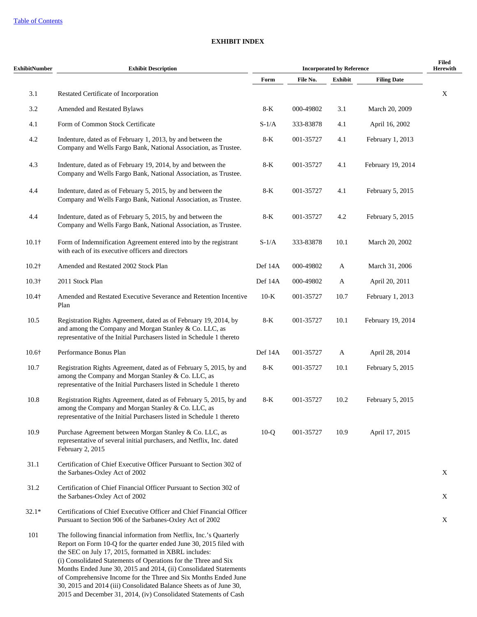# **EXHIBIT INDEX**

| <b>ExhibitNumber</b> | <b>Exhibit Description</b>                                                                                                                                                                                                                                                                                                                                                                                                                                                                                                                             | <b>Incorporated by Reference</b> |           |                | Filed<br>Herewith  |                           |
|----------------------|--------------------------------------------------------------------------------------------------------------------------------------------------------------------------------------------------------------------------------------------------------------------------------------------------------------------------------------------------------------------------------------------------------------------------------------------------------------------------------------------------------------------------------------------------------|----------------------------------|-----------|----------------|--------------------|---------------------------|
|                      |                                                                                                                                                                                                                                                                                                                                                                                                                                                                                                                                                        | Form                             | File No.  | <b>Exhibit</b> | <b>Filing Date</b> |                           |
| 3.1                  | Restated Certificate of Incorporation                                                                                                                                                                                                                                                                                                                                                                                                                                                                                                                  |                                  |           |                |                    | X                         |
| 3.2                  | Amended and Restated Bylaws                                                                                                                                                                                                                                                                                                                                                                                                                                                                                                                            | 8-K                              | 000-49802 | 3.1            | March 20, 2009     |                           |
| 4.1                  | Form of Common Stock Certificate                                                                                                                                                                                                                                                                                                                                                                                                                                                                                                                       | $S-1/A$                          | 333-83878 | 4.1            | April 16, 2002     |                           |
| $4.2\,$              | Indenture, dated as of February 1, 2013, by and between the<br>Company and Wells Fargo Bank, National Association, as Trustee.                                                                                                                                                                                                                                                                                                                                                                                                                         | $8-K$                            | 001-35727 | 4.1            | February 1, 2013   |                           |
| 4.3                  | Indenture, dated as of February 19, 2014, by and between the<br>Company and Wells Fargo Bank, National Association, as Trustee.                                                                                                                                                                                                                                                                                                                                                                                                                        | 8-K                              | 001-35727 | 4.1            | February 19, 2014  |                           |
| 4.4                  | Indenture, dated as of February 5, 2015, by and between the<br>Company and Wells Fargo Bank, National Association, as Trustee.                                                                                                                                                                                                                                                                                                                                                                                                                         | 8-K                              | 001-35727 | 4.1            | February 5, 2015   |                           |
| 4.4                  | Indenture, dated as of February 5, 2015, by and between the<br>Company and Wells Fargo Bank, National Association, as Trustee.                                                                                                                                                                                                                                                                                                                                                                                                                         | 8-K                              | 001-35727 | 4.2            | February 5, 2015   |                           |
| $10.1\dagger$        | Form of Indemnification Agreement entered into by the registrant<br>with each of its executive officers and directors                                                                                                                                                                                                                                                                                                                                                                                                                                  | $S-1/A$                          | 333-83878 | 10.1           | March 20, 2002     |                           |
| $10.2\dagger$        | Amended and Restated 2002 Stock Plan                                                                                                                                                                                                                                                                                                                                                                                                                                                                                                                   | Def 14A                          | 000-49802 | A              | March 31, 2006     |                           |
| $10.3\dagger$        | 2011 Stock Plan                                                                                                                                                                                                                                                                                                                                                                                                                                                                                                                                        | Def 14A                          | 000-49802 | A              | April 20, 2011     |                           |
| $10.4\dagger$        | Amended and Restated Executive Severance and Retention Incentive<br>Plan                                                                                                                                                                                                                                                                                                                                                                                                                                                                               | $10-K$                           | 001-35727 | 10.7           | February 1, 2013   |                           |
| 10.5                 | Registration Rights Agreement, dated as of February 19, 2014, by<br>and among the Company and Morgan Stanley & Co. LLC, as<br>representative of the Initial Purchasers listed in Schedule 1 thereto                                                                                                                                                                                                                                                                                                                                                    | 8-K                              | 001-35727 | 10.1           | February 19, 2014  |                           |
| $10.6\dagger$        | Performance Bonus Plan                                                                                                                                                                                                                                                                                                                                                                                                                                                                                                                                 | Def 14A                          | 001-35727 | A              | April 28, 2014     |                           |
| 10.7                 | Registration Rights Agreement, dated as of February 5, 2015, by and<br>among the Company and Morgan Stanley & Co. LLC, as<br>representative of the Initial Purchasers listed in Schedule 1 thereto                                                                                                                                                                                                                                                                                                                                                     | 8-K                              | 001-35727 | 10.1           | February 5, 2015   |                           |
| 10.8                 | Registration Rights Agreement, dated as of February 5, 2015, by and<br>among the Company and Morgan Stanley & Co. LLC, as<br>representative of the Initial Purchasers listed in Schedule 1 thereto                                                                                                                                                                                                                                                                                                                                                     | 8-K                              | 001-35727 | 10.2           | February 5, 2015   |                           |
| 10.9                 | Purchase Agreement between Morgan Stanley & Co. LLC, as<br>representative of several initial purchasers, and Netflix, Inc. dated<br>February 2, 2015                                                                                                                                                                                                                                                                                                                                                                                                   | $10-Q$                           | 001-35727 | 10.9           | April 17, 2015     |                           |
| 31.1                 | Certification of Chief Executive Officer Pursuant to Section 302 of<br>the Sarbanes-Oxley Act of 2002                                                                                                                                                                                                                                                                                                                                                                                                                                                  |                                  |           |                |                    | $\boldsymbol{\mathrm{X}}$ |
| 31.2                 | Certification of Chief Financial Officer Pursuant to Section 302 of<br>the Sarbanes-Oxley Act of 2002                                                                                                                                                                                                                                                                                                                                                                                                                                                  |                                  |           |                |                    | X                         |
| $32.1*$              | Certifications of Chief Executive Officer and Chief Financial Officer<br>Pursuant to Section 906 of the Sarbanes-Oxley Act of 2002                                                                                                                                                                                                                                                                                                                                                                                                                     |                                  |           |                |                    | X                         |
| 101                  | The following financial information from Netflix, Inc.'s Quarterly<br>Report on Form 10-Q for the quarter ended June 30, 2015 filed with<br>the SEC on July 17, 2015, formatted in XBRL includes:<br>(i) Consolidated Statements of Operations for the Three and Six<br>Months Ended June 30, 2015 and 2014, (ii) Consolidated Statements<br>of Comprehensive Income for the Three and Six Months Ended June<br>30, 2015 and 2014 (iii) Consolidated Balance Sheets as of June 30,<br>2015 and December 31, 2014, (iv) Consolidated Statements of Cash |                                  |           |                |                    |                           |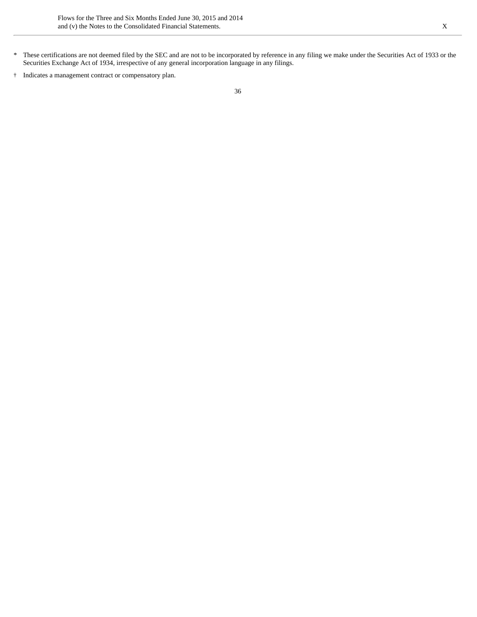- \* These certifications are not deemed filed by the SEC and are not to be incorporated by reference in any filing we make under the Securities Act of 1933 or the Securities Exchange Act of 1934, irrespective of any general incorporation language in any filings.
- † Indicates a management contract or compensatory plan.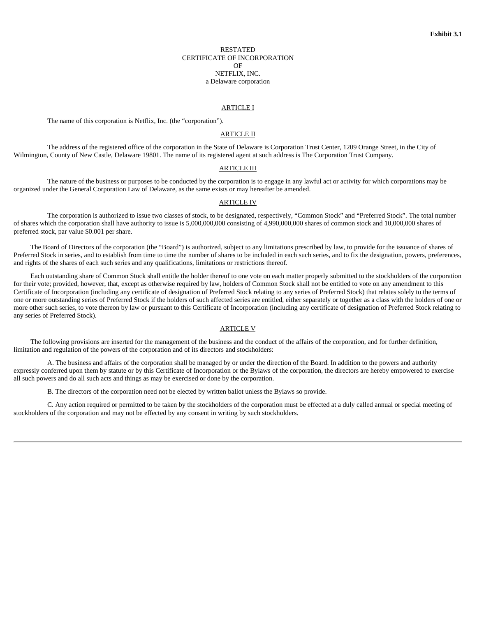#### RESTATED CERTIFICATE OF INCORPORATION OF The contract of the contract of the contract of the contract of the contract of the contract of the contract of the contract of the contract of the contract of the contract of the contract of the contract of the contrac NETFLIX, INC. a Delaware corporation

#### ARTICLE I

The name of this corporation is Netflix, Inc. (the "corporation").

# ARTICLE II

The address of the registered office of the corporation in the State of Delaware is Corporation Trust Center, 1209 Orange Street, in the City of Wilmington, County of New Castle, Delaware 19801. The name of its registered agent at such address is The Corporation Trust Company.

#### ARTICLE III

The nature of the business or purposes to be conducted by the corporation is to engage in any lawful act or activity for which corporations may be organized under the General Corporation Law of Delaware, as the same exists or may hereafter be amended.

# ARTICLE IV

The corporation is authorized to issue two classes of stock, to be designated, respectively, "Common Stock" and "Preferred Stock". The total number of shares which the corporation shall have authority to issue is 5,000,000,000 consisting of 4,990,000,000 shares of common stock and 10,000,000 shares of preferred stock, par value \$0.001 per share.

The Board of Directors of the corporation (the "Board") is authorized, subject to any limitations prescribed by law, to provide for the issuance of shares of Preferred Stock in series, and to establish from time to time the number of shares to be included in each such series, and to fix the designation, powers, preferences, and rights of the shares of each such series and any qualifications, limitations or restrictions thereof.

Each outstanding share of Common Stock shall entitle the holder thereof to one vote on each matter properly submitted to the stockholders of the corporation for their vote; provided, however, that, except as otherwise required by law, holders of Common Stock shall not be entitled to vote on any amendment to this Certificate of Incorporation (including any certificate of designation of Preferred Stock relating to any series of Preferred Stock) that relates solely to the terms of one or more outstanding series of Preferred Stock if the holders of such affected series are entitled, either separately or together as a class with the holders of one or more other such series, to vote thereon by law or pursuant to this Certificate of Incorporation (including any certificate of designation of Preferred Stock relating to any series of Preferred Stock).

#### ARTICLE V

The following provisions are inserted for the management of the business and the conduct of the affairs of the corporation, and for further definition, limitation and regulation of the powers of the corporation and of its directors and stockholders:

A. The business and affairs of the corporation shall be managed by or under the direction of the Board. In addition to the powers and authority expressly conferred upon them by statute or by this Certificate of Incorporation or the Bylaws of the corporation, the directors are hereby empowered to exercise all such powers and do all such acts and things as may be exercised or done by the corporation.

B. The directors of the corporation need not be elected by written ballot unless the Bylaws so provide.

C. Any action required or permitted to be taken by the stockholders of the corporation must be effected at a duly called annual or special meeting of stockholders of the corporation and may not be effected by any consent in writing by such stockholders.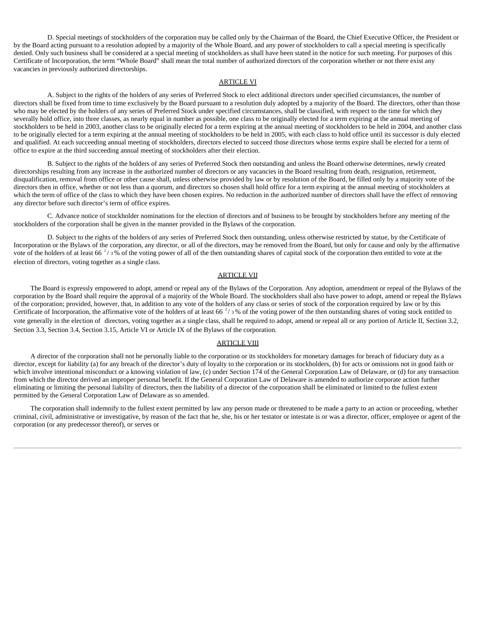D. Special meetings of stockholders of the corporation may be called only by the Chairman of the Board, the Chief Executive Officer, the President or by the Board acting pursuant to a resolution adopted by a majority of the Whole Board, and any power of stockholders to call a special meeting is specifically denied. Only such business shall be considered at a special meeting of stockholders as shall have been stated in the notice for such meeting. For purposes of this Certificate of Incorporation, the term "Whole Board" shall mean the total number of authorized directors of the corporation whether or not there exist any vacancies in previously authorized directorships.

# ARTICLE VI

A. Subject to the rights of the holders of any series of Preferred Stock to elect additional directors under specified circumstances, the number of directors shall be fixed from time to time exclusively by the Board pursuant to a resolution duly adopted by a majority of the Board. The directors, other than those who may be elected by the holders of any series of Preferred Stock under specified circumstances, shall be classified, with respect to the time for which they severally hold office, into three classes, as nearly equal in number as possible, one class to be originally elected for a term expiring at the annual meeting of stockholders to be held in 2003, another class to be originally elected for a term expiring at the annual meeting of stockholders to be held in 2004, and another class to be originally elected for a term expiring at the annual meeting of stockholders to be held in 2005, with each class to hold office until its successor is duly elected and qualified. At each succeeding annual meeting of stockholders, directors elected to succeed those directors whose terms expire shall be elected for a term of office to expire at the third succeeding annual meeting of stockholders after their election.

B. Subject to the rights of the holders of any series of Preferred Stock then outstanding and unless the Board otherwise determines, newly created directorships resulting from any increase in the authorized number of directors or any vacancies in the Board resulting from death, resignation, retirement, disqualification, removal from office or other cause shall, unless otherwise provided by law or by resolution of the Board, be filled only by a majority vote of the directors then in office, whether or not less than a quorum, and directors so chosen shall hold office for a term expiring at the annual meeting of stockholders at which the term of office of the class to which they have been chosen expires. No reduction in the authorized number of directors shall have the effect of removing any director before such director's term of office expires.

C. Advance notice of stockholder nominations for the election of directors and of business to be brought by stockholders before any meeting of the stockholders of the corporation shall be given in the manner provided in the Bylaws of the corporation.

D. Subject to the rights of the holders of any series of Preferred Stock then outstanding, unless otherwise restricted by statue, by the Certificate of Incorporation or the Bylaws of the corporation, any director, or all of the directors, may be removed from the Board, but only for cause and only by the affirmative vote of the holders of at least 66  $\frac{2}{3}$ % of the voting power of all of the then outstanding shares of capital stock of the corporation then entitled to vote at the election of directors, voting together as a single class.

# ARTICLE VII

The Board is expressly empowered to adopt, amend or repeal any of the Bylaws of the Corporation. Any adoption, amendment or repeal of the Bylaws of the corporation by the Board shall require the approval of a majority of the Whole Board. The stockholders shall also have power to adopt, amend or repeal the Bylaws of the corporation; provided, however, that, in addition to any vote of the holders of any class or series of stock of the corporation required by law or by this Certificate of Incorporation, the affirmative vote of the holders of at least 66  $\frac{2}{3}$ % of the voting power of the then outstanding shares of voting stock entitled to vote generally in the election of directors, voting together as a single class, shall be required to adopt, amend or repeal all or any portion of Article II, Section 3.2, Section 3.3, Section 3.4, Section 3.15, Article VI or Article IX of the Bylaws of the corporation.

#### ARTICLE VIII

A director of the corporation shall not be personally liable to the corporation or its stockholders for monetary damages for breach of fiduciary duty as a director, except for liability (a) for any breach of the director's duty of loyalty to the corporation or its stockholders, (b) for acts or omissions not in good faith or which involve intentional misconduct or a knowing violation of law, (c) under Section 174 of the General Corporation Law of Delaware, or (d) for any transaction from which the director derived an improper personal benefit. If the General Corporation Law of Delaware is amended to authorize corporate action further eliminating or limiting the personal liability of directors, then the liability of a director of the corporation shall be eliminated or limited to the fullest extent permitted by the General Corporation Law of Delaware as so amended.

The corporation shall indemnify to the fullest extent permitted by law any person made or threatened to be made a party to an action or proceeding, whether criminal, civil, administrative or investigative, by reason of the fact that he, she, his or her testator or intestate is or was a director, officer, employee or agent of the corporation (or any predecessor thereof), or serves or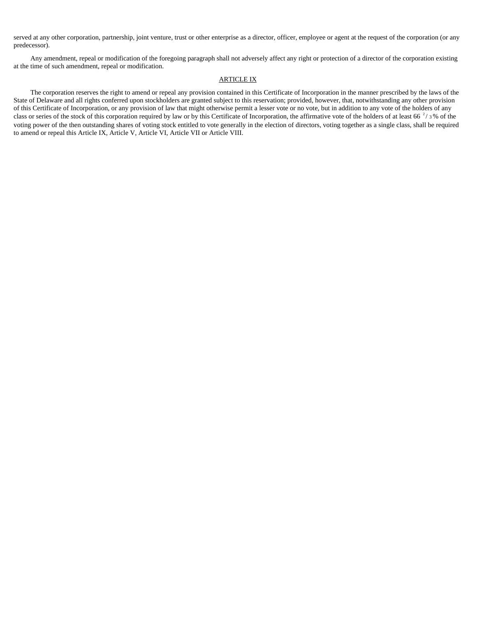served at any other corporation, partnership, joint venture, trust or other enterprise as a director, officer, employee or agent at the request of the corporation (or any predecessor).

Any amendment, repeal or modification of the foregoing paragraph shall not adversely affect any right or protection of a director of the corporation existing at the time of such amendment, repeal or modification.

#### ARTICLE IX

The corporation reserves the right to amend or repeal any provision contained in this Certificate of Incorporation in the manner prescribed by the laws of the State of Delaware and all rights conferred upon stockholders are granted subject to this reservation; provided, however, that, notwithstanding any other provision of this Certificate of Incorporation, or any provision of law that might otherwise permit a lesser vote or no vote, but in addition to any vote of the holders of any class or series of the stock of this corporation required by law or by this Certificate of Incorporation, the affirmative vote of the holders of at least 66  $\frac{2}{3}$ % of the voting power of the then outstanding shares of voting stock entitled to vote generally in the election of directors, voting together as a single class, shall be required to amend or repeal this Article IX, Article V, Article VI, Article VII or Article VIII.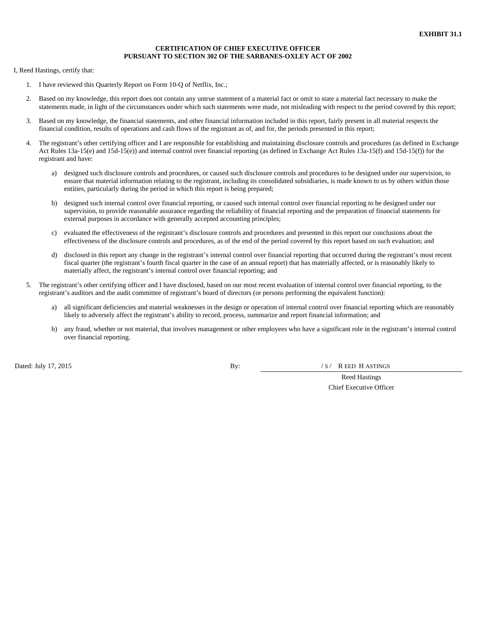# **CERTIFICATION OF CHIEF EXECUTIVE OFFICER PURSUANT TO SECTION 302 OF THE SARBANES-OXLEY ACT OF 2002**

I, Reed Hastings, certify that:

- 1. I have reviewed this Quarterly Report on Form 10-Q of Netflix, Inc.;
- 2. Based on my knowledge, this report does not contain any untrue statement of a material fact or omit to state a material fact necessary to make the statements made, in light of the circumstances under which such statements were made, not misleading with respect to the period covered by this report;
- 3. Based on my knowledge, the financial statements, and other financial information included in this report, fairly present in all material respects the financial condition, results of operations and cash flows of the registrant as of, and for, the periods presented in this report;
- 4. The registrant's other certifying officer and I are responsible for establishing and maintaining disclosure controls and procedures (as defined in Exchange Act Rules 13a-15(e) and 15d-15(e)) and internal control over financial reporting (as defined in Exchange Act Rules 13a-15(f) and 15d-15(f)) for the registrant and have:
	- a) designed such disclosure controls and procedures, or caused such disclosure controls and procedures to be designed under our supervision, to ensure that material information relating to the registrant, including its consolidated subsidiaries, is made known to us by others within those entities, particularly during the period in which this report is being prepared;
	- b) designed such internal control over financial reporting, or caused such internal control over financial reporting to be designed under our supervision, to provide reasonable assurance regarding the reliability of financial reporting and the preparation of financial statements for external purposes in accordance with generally accepted accounting principles;
	- c) evaluated the effectiveness of the registrant's disclosure controls and procedures and presented in this report our conclusions about the effectiveness of the disclosure controls and procedures, as of the end of the period covered by this report based on such evaluation; and
	- d) disclosed in this report any change in the registrant's internal control over financial reporting that occurred during the registrant's most recent fiscal quarter (the registrant's fourth fiscal quarter in the case of an annual report) that has materially affected, or is reasonably likely to materially affect, the registrant's internal control over financial reporting; and
- 5. The registrant's other certifying officer and I have disclosed, based on our most recent evaluation of internal control over financial reporting, to the registrant's auditors and the audit committee of registrant's board of directors (or persons performing the equivalent function):
	- a) all significant deficiencies and material weaknesses in the design or operation of internal control over financial reporting which are reasonably likely to adversely affect the registrant's ability to record, process, summarize and report financial information; and
	- b) any fraud, whether or not material, that involves management or other employees who have a significant role in the registrant's internal control over financial reporting.

Dated: July 17, 2015 By: / S / R EED H ASTINGS

Reed Hastings Chief Executive Officer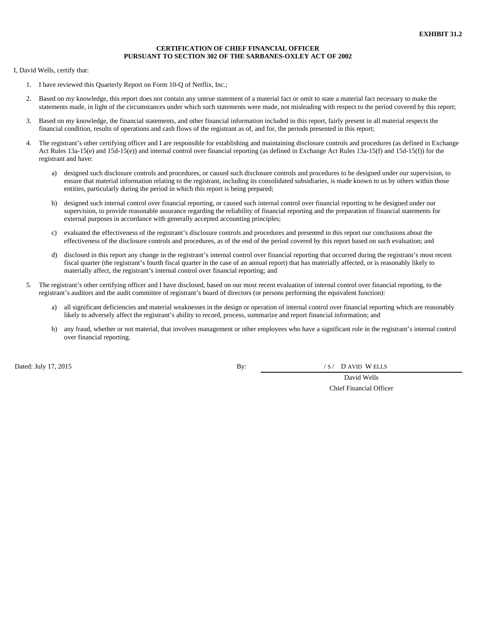# **CERTIFICATION OF CHIEF FINANCIAL OFFICER PURSUANT TO SECTION 302 OF THE SARBANES-OXLEY ACT OF 2002**

I, David Wells, certify that:

- 1. I have reviewed this Quarterly Report on Form 10-Q of Netflix, Inc.;
- 2. Based on my knowledge, this report does not contain any untrue statement of a material fact or omit to state a material fact necessary to make the statements made, in light of the circumstances under which such statements were made, not misleading with respect to the period covered by this report;
- 3. Based on my knowledge, the financial statements, and other financial information included in this report, fairly present in all material respects the financial condition, results of operations and cash flows of the registrant as of, and for, the periods presented in this report;
- 4. The registrant's other certifying officer and I are responsible for establishing and maintaining disclosure controls and procedures (as defined in Exchange Act Rules 13a-15(e) and 15d-15(e)) and internal control over financial reporting (as defined in Exchange Act Rules 13a-15(f) and 15d-15(f)) for the registrant and have:
	- a) designed such disclosure controls and procedures, or caused such disclosure controls and procedures to be designed under our supervision, to ensure that material information relating to the registrant, including its consolidated subsidiaries, is made known to us by others within those entities, particularly during the period in which this report is being prepared;
	- b) designed such internal control over financial reporting, or caused such internal control over financial reporting to be designed under our supervision, to provide reasonable assurance regarding the reliability of financial reporting and the preparation of financial statements for external purposes in accordance with generally accepted accounting principles;
	- c) evaluated the effectiveness of the registrant's disclosure controls and procedures and presented in this report our conclusions about the effectiveness of the disclosure controls and procedures, as of the end of the period covered by this report based on such evaluation; and
	- d) disclosed in this report any change in the registrant's internal control over financial reporting that occurred during the registrant's most recent fiscal quarter (the registrant's fourth fiscal quarter in the case of an annual report) that has materially affected, or is reasonably likely to materially affect, the registrant's internal control over financial reporting; and
- 5. The registrant's other certifying officer and I have disclosed, based on our most recent evaluation of internal control over financial reporting, to the registrant's auditors and the audit committee of registrant's board of directors (or persons performing the equivalent function):
	- a) all significant deficiencies and material weaknesses in the design or operation of internal control over financial reporting which are reasonably likely to adversely affect the registrant's ability to record, process, summarize and report financial information; and
	- b) any fraud, whether or not material, that involves management or other employees who have a significant role in the registrant's internal control over financial reporting.

Dated: July 17, 2015 **By:** / S / D AVID W ELLS

David Wells Chief Financial Officer